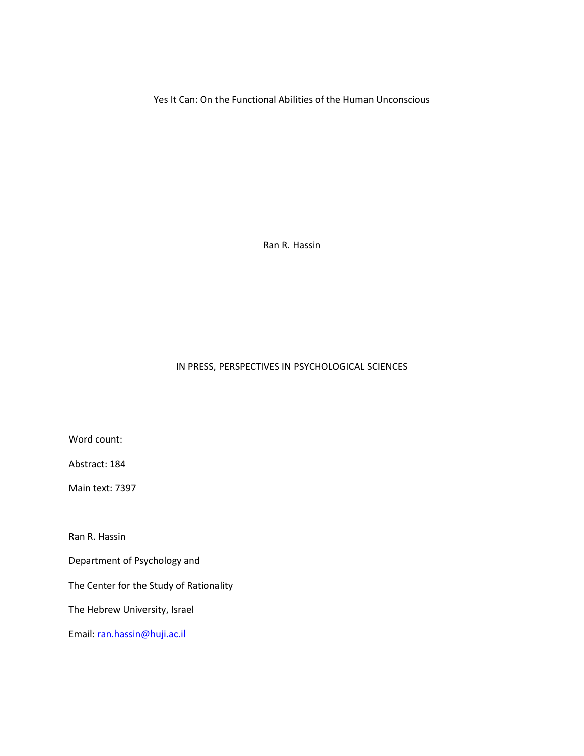Yes It Can: On the Functional Abilities of the Human Unconscious

Ran R. Hassin

# IN PRESS, PERSPECTIVES IN PSYCHOLOGICAL SCIENCES

Word count:

Abstract: 184

Main text: 7397

Ran R. Hassin

Department of Psychology and

The Center for the Study of Rationality

The Hebrew University, Israel

Email: [ran.hassin@huji.ac.il](mailto:ran.hassin@huji.ac.il)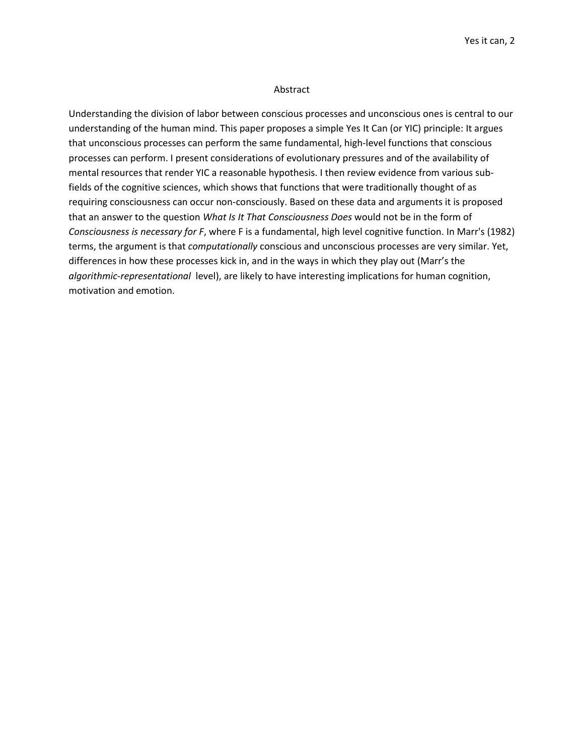## Abstract

Understanding the division of labor between conscious processes and unconscious ones is central to our understanding of the human mind. This paper proposes a simple Yes It Can (or YIC) principle: It argues that unconscious processes can perform the same fundamental, high-level functions that conscious processes can perform. I present considerations of evolutionary pressures and of the availability of mental resources that render YIC a reasonable hypothesis. I then review evidence from various subfields of the cognitive sciences, which shows that functions that were traditionally thought of as requiring consciousness can occur non-consciously. Based on these data and arguments it is proposed that an answer to the question *What Is It That Consciousness Does* would not be in the form of *Consciousness is necessary for F*, where F is a fundamental, high level cognitive function. In Marr's (1982) terms, the argument is that *computationally* conscious and unconscious processes are very similar. Yet, differences in how these processes kick in, and in the ways in which they play out (Marr's the *algorithmic-representational* level), are likely to have interesting implications for human cognition, motivation and emotion.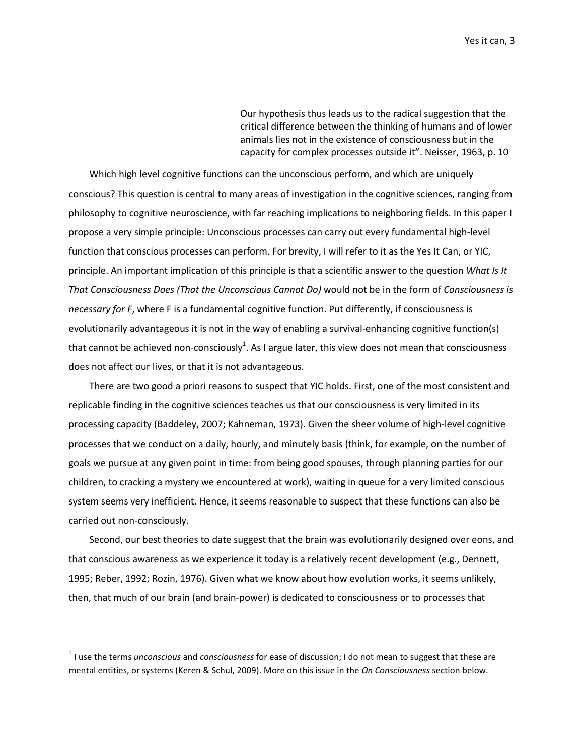Our hypothesis thus leads us to the radical suggestion that the critical difference between the thinking of humans and of lower animals lies not in the existence of consciousness but in the capacity for complex processes outside it". Neisser, 1963, p. 10

Which high level cognitive functions can the unconscious perform, and which are uniquely conscious? This question is central to many areas of investigation in the cognitive sciences, ranging from philosophy to cognitive neuroscience, with far reaching implications to neighboring fields. In this paper I propose a very simple principle: Unconscious processes can carry out every fundamental high-level function that conscious processes can perform. For brevity, I will refer to it as the Yes It Can, or YIC, principle. An important implication of this principle is that a scientific answer to the question *What Is It That Consciousness Does (That the Unconscious Cannot Do)* would not be in the form of *Consciousness is necessary for F*, where F is a fundamental cognitive function. Put differently, if consciousness is evolutionarily advantageous it is not in the way of enabling a survival-enhancing cognitive function(s) that cannot be achieved non-consciously<sup>1</sup>. As I argue later, this view does not mean that consciousness does not affect our lives, or that it is not advantageous.

There are two good a priori reasons to suspect that YIC holds. First, one of the most consistent and replicable finding in the cognitive sciences teaches us that our consciousness is very limited in its processing capacity [\(Baddeley, 2007;](#page-22-0) [Kahneman, 1973\)](#page-25-0). Given the sheer volume of high-level cognitive processes that we conduct on a daily, hourly, and minutely basis (think, for example, on the number of goals we pursue at any given point in time: from being good spouses, through planning parties for our children, to cracking a mystery we encountered at work), waiting in queue for a very limited conscious system seems very inefficient. Hence, it seems reasonable to suspect that these functions can also be carried out non-consciously.

Second, our best theories to date suggest that the brain was evolutionarily designed over eons, and that conscious awareness as we experience it today is a relatively recent development (e.g., [Dennett,](#page-24-0)  [1995;](#page-24-0) [Reber, 1992;](#page-28-0) [Rozin, 1976\)](#page-28-1). Given what we know about how evolution works, it seems unlikely, then, that much of our brain (and brain-power) is dedicated to consciousness or to processes that

 $\overline{\phantom{a}}$ 

<sup>1</sup> I use the terms *unconscious* and *consciousness* for ease of discussion; I do not mean to suggest that these are mental entities, or systems [\(Keren & Schul, 2009\)](#page-26-0). More on this issue in the *On Consciousness* section below.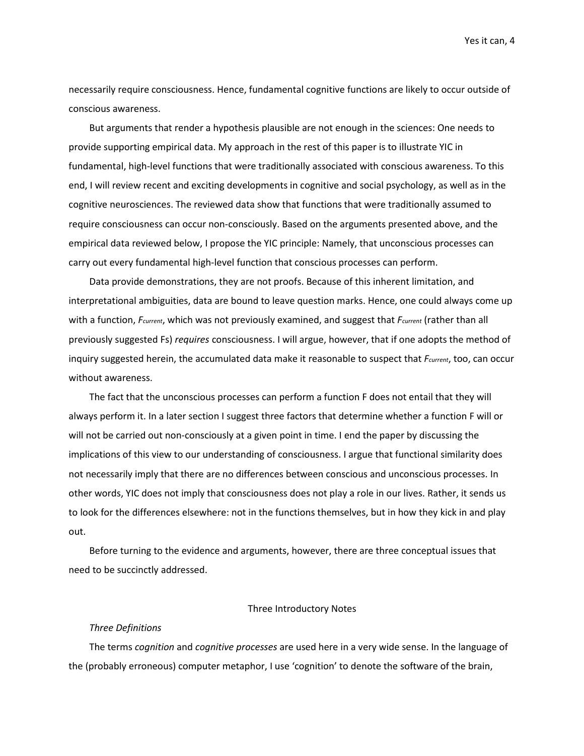necessarily require consciousness. Hence, fundamental cognitive functions are likely to occur outside of conscious awareness.

But arguments that render a hypothesis plausible are not enough in the sciences: One needs to provide supporting empirical data. My approach in the rest of this paper is to illustrate YIC in fundamental, high-level functions that were traditionally associated with conscious awareness. To this end, I will review recent and exciting developments in cognitive and social psychology, as well as in the cognitive neurosciences. The reviewed data show that functions that were traditionally assumed to require consciousness can occur non-consciously. Based on the arguments presented above, and the empirical data reviewed below, I propose the YIC principle: Namely, that unconscious processes can carry out every fundamental high-level function that conscious processes can perform.

Data provide demonstrations, they are not proofs. Because of this inherent limitation, and interpretational ambiguities, data are bound to leave question marks. Hence, one could always come up with a function, *Fcurrent*, which was not previously examined, and suggest that *Fcurrent* (rather than all previously suggested Fs) *requires* consciousness. I will argue, however, that if one adopts the method of inquiry suggested herein, the accumulated data make it reasonable to suspect that *Fcurrent*, too, can occur without awareness.

The fact that the unconscious processes can perform a function F does not entail that they will always perform it. In a later section I suggest three factors that determine whether a function F will or will not be carried out non-consciously at a given point in time. I end the paper by discussing the implications of this view to our understanding of consciousness. I argue that functional similarity does not necessarily imply that there are no differences between conscious and unconscious processes. In other words, YIC does not imply that consciousness does not play a role in our lives. Rather, it sends us to look for the differences elsewhere: not in the functions themselves, but in how they kick in and play out.

Before turning to the evidence and arguments, however, there are three conceptual issues that need to be succinctly addressed.

## Three Introductory Notes

## *Three Definitions*

The terms *cognition* and *cognitive processes* are used here in a very wide sense. In the language of the (probably erroneous) computer metaphor, I use 'cognition' to denote the software of the brain,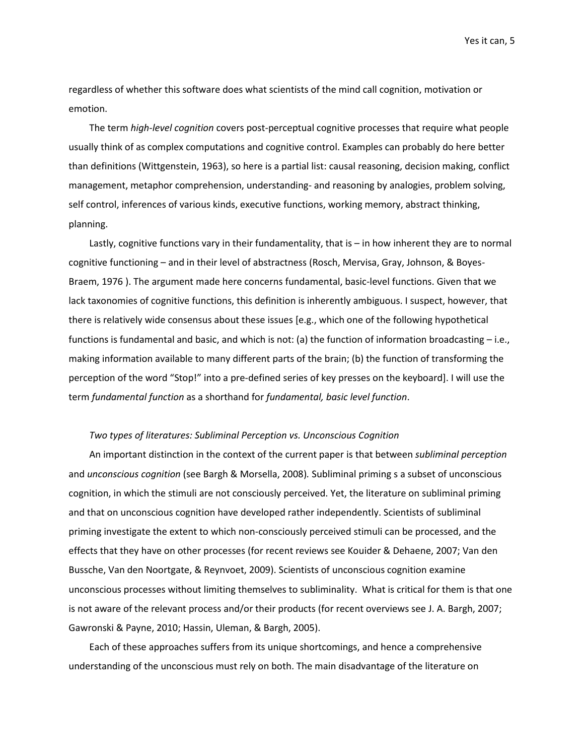regardless of whether this software does what scientists of the mind call cognition, motivation or emotion.

The term *high-level cognition* covers post-perceptual cognitive processes that require what people usually think of as complex computations and cognitive control. Examples can probably do here better than definitions [\(Wittgenstein, 1963\)](#page-30-0), so here is a partial list: causal reasoning, decision making, conflict management, metaphor comprehension, understanding- and reasoning by analogies, problem solving, self control, inferences of various kinds, executive functions, working memory, abstract thinking, planning.

Lastly, cognitive functions vary in their fundamentality, that is – in how inherent they are to normal cognitive functioning – and in their level of abstractness [\(Rosch, Mervisa, Gray, Johnson, & Boyes-](#page-28-2)[Braem, 1976 \)](#page-28-2). The argument made here concerns fundamental, basic-level functions. Given that we lack taxonomies of cognitive functions, this definition is inherently ambiguous. I suspect, however, that there is relatively wide consensus about these issues [e.g., which one of the following hypothetical functions is fundamental and basic, and which is not: (a) the function of information broadcasting – i.e., making information available to many different parts of the brain; (b) the function of transforming the perception of the word "Stop!" into a pre-defined series of key presses on the keyboard]. I will use the term *fundamental function* as a shorthand for *fundamental, basic level function*.

## *Two types of literatures: Subliminal Perception vs. Unconscious Cognition*

An important distinction in the context of the current paper is that between *subliminal perception* and *unconscious cognition* [\(see Bargh & Morsella, 2008\)](#page-23-0)*.* Subliminal priming s a subset of unconscious cognition, in which the stimuli are not consciously perceived. Yet, the literature on subliminal priming and that on unconscious cognition have developed rather independently. Scientists of subliminal priming investigate the extent to which non-consciously perceived stimuli can be processed, and the effects that they have on other processes (for recent reviews se[e Kouider & Dehaene, 2007;](#page-26-1) [Van den](#page-29-0)  [Bussche, Van den Noortgate, & Reynvoet, 2009\)](#page-29-0). Scientists of unconscious cognition examine unconscious processes without limiting themselves to subliminality. What is critical for them is that one is not aware of the relevant process and/or their products (for recent overviews see [J. A. Bargh, 2007;](#page-22-1) [Gawronski & Payne, 2010;](#page-24-1) [Hassin, Uleman, & Bargh, 2005\)](#page-25-1).

Each of these approaches suffers from its unique shortcomings, and hence a comprehensive understanding of the unconscious must rely on both. The main disadvantage of the literature on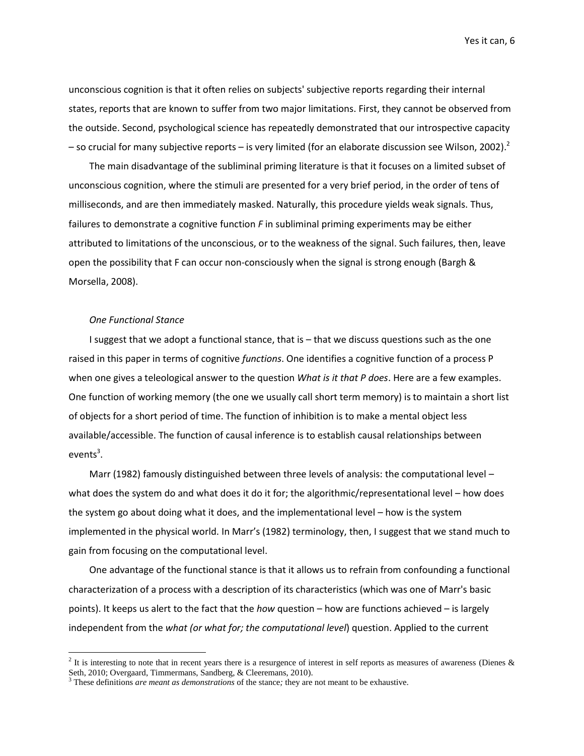unconscious cognition is that it often relies on subjects' subjective reports regarding their internal states, reports that are known to suffer from two major limitations. First, they cannot be observed from the outside. Second, psychological science has repeatedly demonstrated that our introspective capacity – so crucial for many subjective reports – is very limited [\(for an elaborate discussion see Wilson, 2002\)](#page-29-1).<sup>2</sup>

The main disadvantage of the subliminal priming literature is that it focuses on a limited subset of unconscious cognition, where the stimuli are presented for a very brief period, in the order of tens of milliseconds, and are then immediately masked. Naturally, this procedure yields weak signals. Thus, failures to demonstrate a cognitive function *F* in subliminal priming experiments may be either attributed to limitations of the unconscious, or to the weakness of the signal. Such failures, then, leave open the possibility that F can occur non-consciously when the signal is strong enough [\(Bargh &](#page-23-0)  [Morsella, 2008\)](#page-23-0).

# *One Functional Stance*

l

I suggest that we adopt a functional stance, that is – that we discuss questions such as the one raised in this paper in terms of cognitive *functions*. One identifies a cognitive function of a process P when one gives a teleological answer to the question *What is it that P does*. Here are a few examples. One function of working memory (the one we usually call short term memory) is to maintain a short list of objects for a short period of time. The function of inhibition is to make a mental object less available/accessible. The function of causal inference is to establish causal relationships between events<sup>3</sup>.

Marr (1982) famously distinguished between three levels of analysis: the computational level – what does the system do and what does it do it for; the algorithmic/representational level – how does the system go about doing what it does, and the implementational level – how is the system implemented in the physical world. In Marr's [\(1982\)](#page-26-2) terminology, then, I suggest that we stand much to gain from focusing on the computational level.

One advantage of the functional stance is that it allows us to refrain from confounding a functional characterization of a process with a description of its characteristics (which was one of Marr's basic points). It keeps us alert to the fact that the *how* question – how are functions achieved – is largely independent from the *what (or what for; the computational level*) question. Applied to the current

<sup>&</sup>lt;sup>2</sup> It is interesting to note that in recent years there is a resurgence of interest in self reports as measures of awareness (Dienes  $\&$ [Seth, 2010;](#page-24-2) [Overgaard, Timmermans, Sandberg, & Cleeremans, 2010\)](#page-27-0).

<sup>3</sup> These definitions *are meant as demonstrations* of the stance*;* they are not meant to be exhaustive.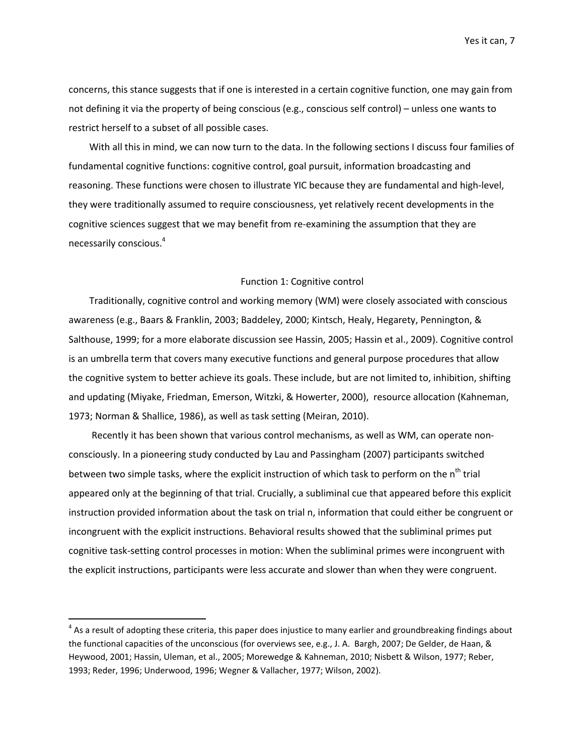concerns, this stance suggests that if one is interested in a certain cognitive function, one may gain from not defining it via the property of being conscious (e.g., conscious self control) – unless one wants to restrict herself to a subset of all possible cases.

With all this in mind, we can now turn to the data. In the following sections I discuss four families of fundamental cognitive functions: cognitive control, goal pursuit, information broadcasting and reasoning. These functions were chosen to illustrate YIC because they are fundamental and high-level, they were traditionally assumed to require consciousness, yet relatively recent developments in the cognitive sciences suggest that we may benefit from re-examining the assumption that they are necessarily conscious. 4

## Function 1: Cognitive control

Traditionally, cognitive control and working memory (WM) were closely associated with conscious awareness (e.g., [Baars & Franklin, 2003;](#page-22-2) [Baddeley, 2000;](#page-22-3) [Kintsch, Healy, Hegarety, Pennington, &](#page-26-3)  [Salthouse, 1999; for a more elaborate discussion see Hassin, 2005; Hassin et al., 2009\)](#page-26-3). Cognitive control is an umbrella term that covers many executive functions and general purpose procedures that allow the cognitive system to better achieve its goals. These include, but are not limited to, inhibition, shifting and updating [\(Miyake, Friedman, Emerson, Witzki, & Howerter, 2000\)](#page-27-1), resource allocation [\(Kahneman,](#page-25-0)  [1973;](#page-25-0) [Norman & Shallice, 1986\)](#page-27-2), as well as task setting [\(Meiran, 2010\)](#page-26-4).

Recently it has been shown that various control mechanisms, as well as WM, can operate nonconsciously. In a pioneering study conducted by Lau and Passingham [\(2007\)](#page-26-5) participants switched between two simple tasks, where the explicit instruction of which task to perform on the n<sup>th</sup> trial appeared only at the beginning of that trial. Crucially, a subliminal cue that appeared before this explicit instruction provided information about the task on trial n, information that could either be congruent or incongruent with the explicit instructions. Behavioral results showed that the subliminal primes put cognitive task-setting control processes in motion: When the subliminal primes were incongruent with the explicit instructions, participants were less accurate and slower than when they were congruent.

 $\overline{\phantom{a}}$ 

 $^4$  As a result of adopting these criteria, this paper does injustice to many earlier and groundbreaking findings about the functional capacities of the unconscious (for overviews see, e.g., [J. A. Bargh, 2007;](#page-22-4) [De Gelder, de Haan, &](#page-23-1)  [Heywood, 2001;](#page-23-1) [Hassin, Uleman, et al., 2005;](#page-25-1) [Morewedge & Kahneman, 2010;](#page-27-3) [Nisbett & Wilson, 1977;](#page-27-4) [Reber,](#page-28-3)  [1993;](#page-28-3) [Reder, 1996;](#page-28-4) [Underwood, 1996;](#page-29-2) [Wegner & Vallacher, 1977;](#page-29-3) [Wilson, 2002\)](#page-29-1).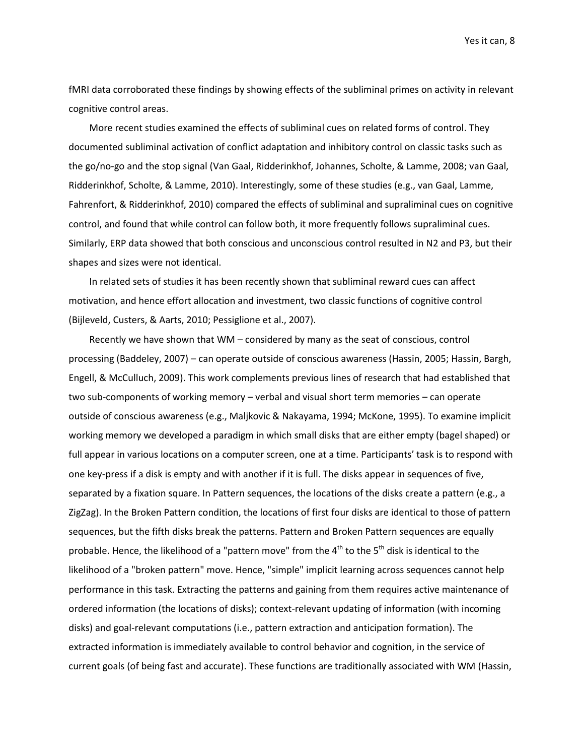fMRI data corroborated these findings by showing effects of the subliminal primes on activity in relevant cognitive control areas.

More recent studies examined the effects of subliminal cues on related forms of control. They documented subliminal activation of conflict adaptation and inhibitory control on classic tasks such as the go/no-go and the stop signal [\(Van Gaal, Ridderinkhof, Johannes, Scholte, & Lamme, 2008;](#page-29-4) [van Gaal,](#page-29-5)  [Ridderinkhof, Scholte, & Lamme, 2010\)](#page-29-5). Interestingly, some of these studies [\(e.g., van Gaal, Lamme,](#page-29-6)  [Fahrenfort, & Ridderinkhof, 2010\)](#page-29-6) compared the effects of subliminal and supraliminal cues on cognitive control, and found that while control can follow both, it more frequently follows supraliminal cues. Similarly, ERP data showed that both conscious and unconscious control resulted in N2 and P3, but their shapes and sizes were not identical.

In related sets of studies it has been recently shown that subliminal reward cues can affect motivation, and hence effort allocation and investment, two classic functions of cognitive control [\(Bijleveld, Custers, & Aarts, 2010;](#page-23-2) [Pessiglione et al., 2007\)](#page-27-5).

Recently we have shown that WM – considered by many as the seat of conscious, control processing [\(Baddeley, 2007\)](#page-22-0) – can operate outside of conscious awareness [\(Hassin, 2005;](#page-25-2) [Hassin, Bargh,](#page-25-3)  [Engell, & McCulluch, 2009\)](#page-25-3). This work complements previous lines of research that had established that two sub-components of working memory – verbal and visual short term memories – can operate outside of conscious awareness (e.g.[, Maljkovic & Nakayama, 1994;](#page-26-6) [McKone, 1995\)](#page-26-7). To examine implicit working memory we developed a paradigm in which small disks that are either empty (bagel shaped) or full appear in various locations on a computer screen, one at a time. Participants' task is to respond with one key-press if a disk is empty and with another if it is full. The disks appear in sequences of five, separated by a fixation square. In Pattern sequences, the locations of the disks create a pattern (e.g., a ZigZag). In the Broken Pattern condition, the locations of first four disks are identical to those of pattern sequences, but the fifth disks break the patterns. Pattern and Broken Pattern sequences are equally probable. Hence, the likelihood of a "pattern move" from the  $4<sup>th</sup>$  to the  $5<sup>th</sup>$  disk is identical to the likelihood of a "broken pattern" move. Hence, "simple" implicit learning across sequences cannot help performance in this task. Extracting the patterns and gaining from them requires active maintenance of ordered information (the locations of disks); context-relevant updating of information (with incoming disks) and goal-relevant computations (i.e., pattern extraction and anticipation formation). The extracted information is immediately available to control behavior and cognition, in the service of current goals (of being fast and accurate). These functions are traditionally associated with WM [\(Hassin,](#page-25-2)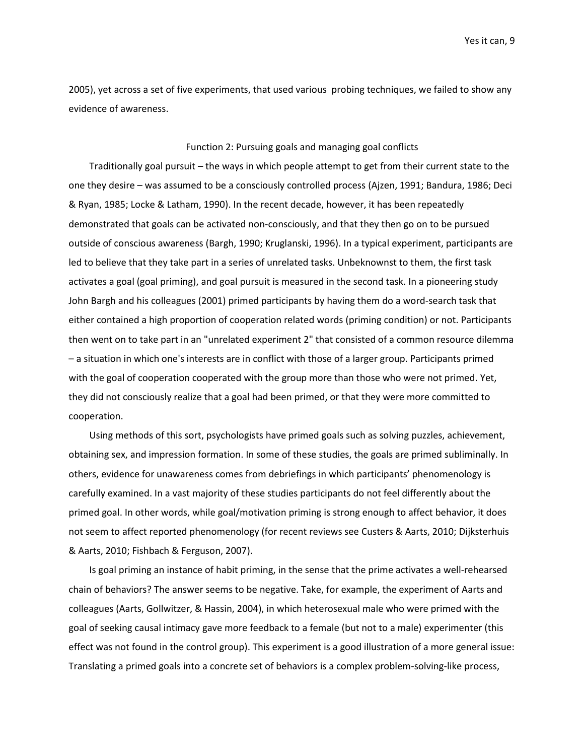2005), yet across a set of five experiments, that used various probing techniques, we failed to show any evidence of awareness.

# Function 2: Pursuing goals and managing goal conflicts

Traditionally goal pursuit – the ways in which people attempt to get from their current state to the one they desire – was assumed to be a consciously controlled process [\(Ajzen, 1991;](#page-22-5) [Bandura, 1986;](#page-22-6) [Deci](#page-23-3)  [& Ryan, 1985;](#page-23-3) [Locke & Latham, 1990\)](#page-26-8). In the recent decade, however, it has been repeatedly demonstrated that goals can be activated non-consciously, and that they then go on to be pursued outside of conscious awareness (Bargh, 1990; Kruglanski, 1996). In a typical experiment, participants are led to believe that they take part in a series of unrelated tasks. Unbeknownst to them, the first task activates a goal (goal priming), and goal pursuit is measured in the second task. In a pioneering study John Bargh and his colleagues [\(2001\)](#page-22-7) primed participants by having them do a word-search task that either contained a high proportion of cooperation related words (priming condition) or not. Participants then went on to take part in an "unrelated experiment 2" that consisted of a common resource dilemma – a situation in which one's interests are in conflict with those of a larger group. Participants primed with the goal of cooperation cooperated with the group more than those who were not primed. Yet, they did not consciously realize that a goal had been primed, or that they were more committed to cooperation.

Using methods of this sort, psychologists have primed goals such as solving puzzles, achievement, obtaining sex, and impression formation. In some of these studies, the goals are primed subliminally. In others, evidence for unawareness comes from debriefings in which participants' phenomenology is carefully examined. In a vast majority of these studies participants do not feel differently about the primed goal. In other words, while goal/motivation priming is strong enough to affect behavior, it does not seem to affect reported phenomenology (for recent reviews see [Custers & Aarts, 2010;](#page-23-4) [Dijksterhuis](#page-24-3)  [& Aarts, 2010;](#page-24-3) [Fishbach & Ferguson, 2007\)](#page-24-4).

Is goal priming an instance of habit priming, in the sense that the prime activates a well-rehearsed chain of behaviors? The answer seems to be negative. Take, for example, the experiment of Aarts and colleagues [\(Aarts, Gollwitzer, & Hassin, 2004\)](#page-22-8), in which heterosexual male who were primed with the goal of seeking causal intimacy gave more feedback to a female (but not to a male) experimenter (this effect was not found in the control group). This experiment is a good illustration of a more general issue: Translating a primed goals into a concrete set of behaviors is a complex problem-solving-like process,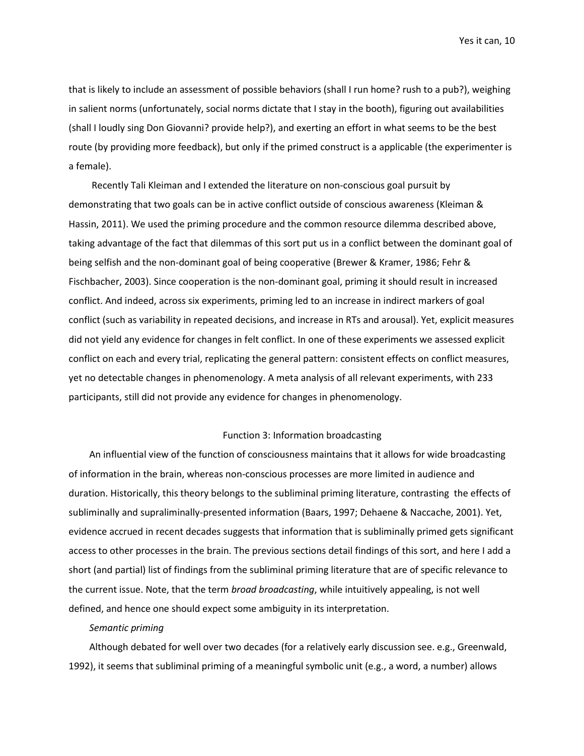that is likely to include an assessment of possible behaviors (shall I run home? rush to a pub?), weighing in salient norms (unfortunately, social norms dictate that I stay in the booth), figuring out availabilities (shall I loudly sing Don Giovanni? provide help?), and exerting an effort in what seems to be the best route (by providing more feedback), but only if the primed construct is a applicable (the experimenter is a female).

Recently Tali Kleiman and I extended the literature on non-conscious goal pursuit by demonstrating that two goals can be in active conflict outside of conscious awareness [\(Kleiman &](#page-26-9)  [Hassin, 2011\)](#page-26-9). We used the priming procedure and the common resource dilemma described above, taking advantage of the fact that dilemmas of this sort put us in a conflict between the dominant goal of being selfish and the non-dominant goal of being cooperative [\(Brewer & Kramer, 1986;](#page-23-5) [Fehr &](#page-24-5)  [Fischbacher, 2003\)](#page-24-5). Since cooperation is the non-dominant goal, priming it should result in increased conflict. And indeed, across six experiments, priming led to an increase in indirect markers of goal conflict (such as variability in repeated decisions, and increase in RTs and arousal). Yet, explicit measures did not yield any evidence for changes in felt conflict. In one of these experiments we assessed explicit conflict on each and every trial, replicating the general pattern: consistent effects on conflict measures, yet no detectable changes in phenomenology. A meta analysis of all relevant experiments, with 233 participants, still did not provide any evidence for changes in phenomenology.

### Function 3: Information broadcasting

An influential view of the function of consciousness maintains that it allows for wide broadcasting of information in the brain, whereas non-conscious processes are more limited in audience and duration. Historically, this theory belongs to the subliminal priming literature, contrasting the effects of subliminally and supraliminally-presented information [\(Baars, 1997;](#page-22-9) [Dehaene & Naccache, 2001\)](#page-24-6). Yet, evidence accrued in recent decades suggests that information that is subliminally primed gets significant access to other processes in the brain. The previous sections detail findings of this sort, and here I add a short (and partial) list of findings from the subliminal priming literature that are of specific relevance to the current issue. Note, that the term *broad broadcasting*, while intuitively appealing, is not well defined, and hence one should expect some ambiguity in its interpretation.

## *Semantic priming*

Although debated for well over two decades [\(for a relatively early discussion see. e.g., Greenwald,](#page-24-7)  [1992\)](#page-24-7), it seems that subliminal priming of a meaningful symbolic unit (e.g., a word, a number) allows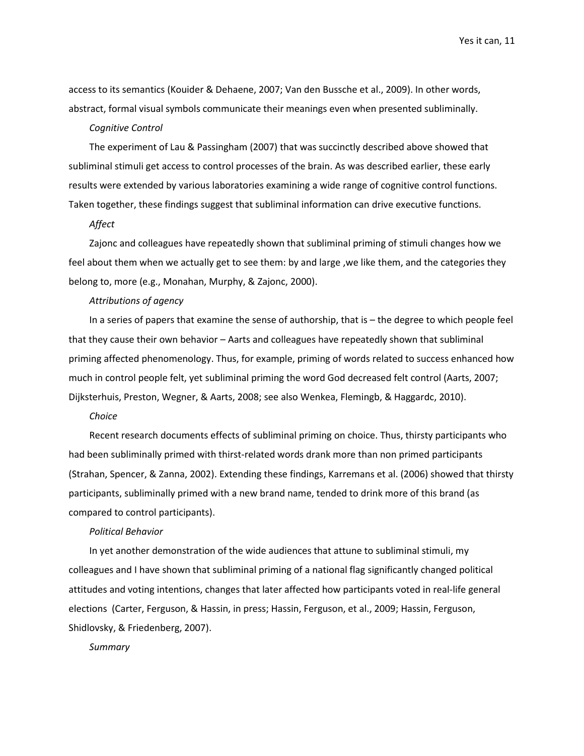access to its semantics [\(Kouider & Dehaene, 2007;](#page-26-1) [Van den Bussche et al., 2009\)](#page-29-0). In other words, abstract, formal visual symbols communicate their meanings even when presented subliminally.

### *Cognitive Control*

The experiment of Lau & Passingham (2007) that was succinctly described above showed that subliminal stimuli get access to control processes of the brain. As was described earlier, these early results were extended by various laboratories examining a wide range of cognitive control functions. Taken together, these findings suggest that subliminal information can drive executive functions.

## *Affect*

Zajonc and colleagues have repeatedly shown that subliminal priming of stimuli changes how we feel about them when we actually get to see them: by and large ,we like them, and the categories they belong to, more [\(e.g., Monahan, Murphy, & Zajonc, 2000\)](#page-27-6).

# *Attributions of agency*

In a series of papers that examine the sense of authorship, that is – the degree to which people feel that they cause their own behavior – Aarts and colleagues have repeatedly shown that subliminal priming affected phenomenology. Thus, for example, priming of words related to success enhanced how much in control people felt, yet subliminal priming the word God decreased felt control [\(Aarts, 2007;](#page-22-10) [Dijksterhuis, Preston, Wegner, & Aarts, 2008;](#page-24-8) [see also Wenkea, Flemingb, & Haggardc, 2010\)](#page-29-7).

## *Choice*

Recent research documents effects of subliminal priming on choice. Thus, thirsty participants who had been subliminally primed with thirst-related words drank more than non primed participants [\(Strahan, Spencer, & Zanna, 2002\)](#page-29-8). Extending these findings, Karremans et al. [\(2006\)](#page-25-4) showed that thirsty participants, subliminally primed with a new brand name, tended to drink more of this brand (as compared to control participants).

#### *Political Behavior*

In yet another demonstration of the wide audiences that attune to subliminal stimuli, my colleagues and I have shown that subliminal priming of a national flag significantly changed political attitudes and voting intentions, changes that later affected how participants voted in real-life general elections [\(Carter, Ferguson, & Hassin, in press;](#page-23-6) [Hassin, Ferguson, et al., 2009;](#page-25-5) [Hassin, Ferguson,](#page-25-6)  [Shidlovsky, & Friedenberg, 2007\)](#page-25-6).

## *Summary*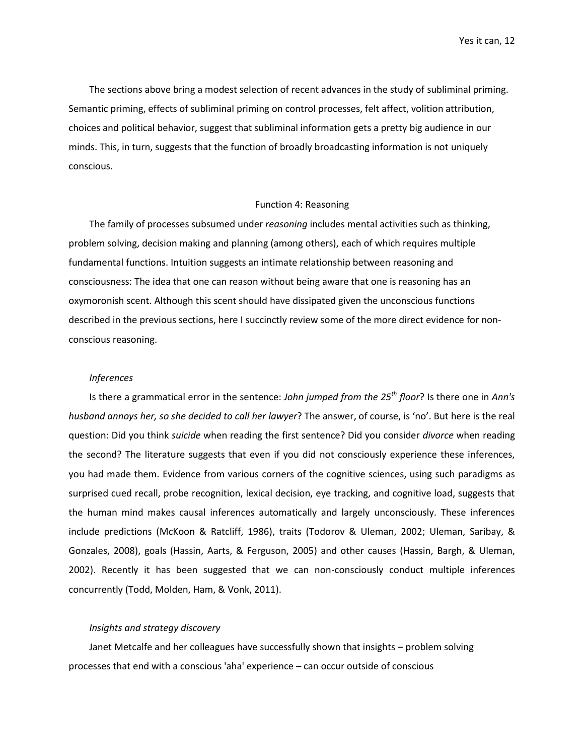The sections above bring a modest selection of recent advances in the study of subliminal priming. Semantic priming, effects of subliminal priming on control processes, felt affect, volition attribution, choices and political behavior, suggest that subliminal information gets a pretty big audience in our minds. This, in turn, suggests that the function of broadly broadcasting information is not uniquely conscious.

## Function 4: Reasoning

The family of processes subsumed under *reasoning* includes mental activities such as thinking, problem solving, decision making and planning (among others), each of which requires multiple fundamental functions. Intuition suggests an intimate relationship between reasoning and consciousness: The idea that one can reason without being aware that one is reasoning has an oxymoronish scent. Although this scent should have dissipated given the unconscious functions described in the previous sections, here I succinctly review some of the more direct evidence for nonconscious reasoning.

## *Inferences*

Is there a grammatical error in the sentence: *John jumped from the 25th floor*? Is there one in *Ann's husband annoys her, so she decided to call her lawyer*? The answer, of course, is 'no'. But here is the real question: Did you think *suicide* when reading the first sentence? Did you consider *divorce* when reading the second? The literature suggests that even if you did not consciously experience these inferences, you had made them. Evidence from various corners of the cognitive sciences, using such paradigms as surprised cued recall, probe recognition, lexical decision, eye tracking, and cognitive load, suggests that the human mind makes causal inferences automatically and largely unconsciously. These inferences include predictions [\(McKoon & Ratcliff, 1986\)](#page-26-10), traits [\(Todorov & Uleman, 2002;](#page-29-9) [Uleman, Saribay, &](#page-29-10)  [Gonzales, 2008\)](#page-29-10), goals [\(Hassin, Aarts, & Ferguson, 2005\)](#page-25-7) and other causes [\(Hassin, Bargh, & Uleman,](#page-25-8)  [2002\)](#page-25-8). Recently it has been suggested that we can non-consciously conduct multiple inferences concurrently [\(Todd, Molden, Ham, & Vonk, 2011\)](#page-29-11).

## *Insights and strategy discovery*

Janet Metcalfe and her colleagues have successfully shown that insights – problem solving processes that end with a conscious 'aha' experience – can occur outside of conscious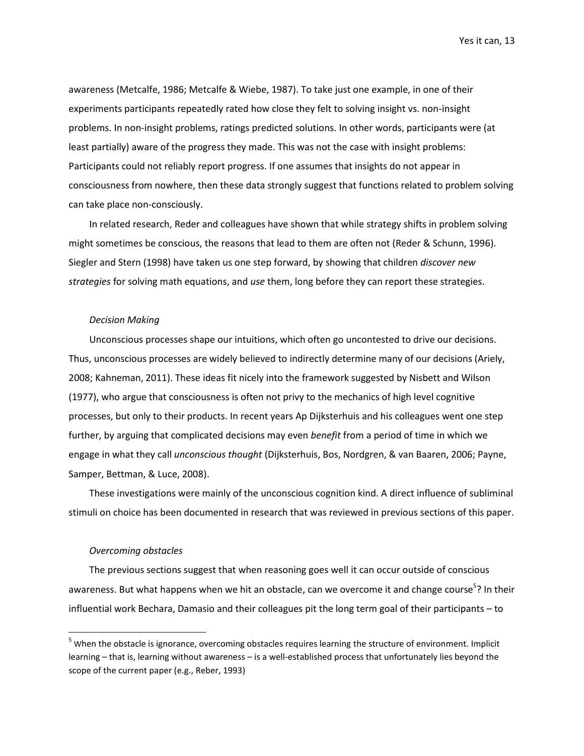awareness [\(Metcalfe, 1986;](#page-26-11) [Metcalfe & Wiebe, 1987\)](#page-27-7). To take just one example, in one of their experiments participants repeatedly rated how close they felt to solving insight vs. non-insight problems. In non-insight problems, ratings predicted solutions. In other words, participants were (at least partially) aware of the progress they made. This was not the case with insight problems: Participants could not reliably report progress. If one assumes that insights do not appear in consciousness from nowhere, then these data strongly suggest that functions related to problem solving can take place non-consciously.

In related research, Reder and colleagues have shown that while strategy shifts in problem solving might sometimes be conscious, the reasons that lead to them are often not [\(Reder & Schunn, 1996\)](#page-28-5). Siegler and Stern [\(1998\)](#page-28-6) have taken us one step forward, by showing that children *discover new strategies* for solving math equations, and *use* them, long before they can report these strategies.

## *Decision Making*

Unconscious processes shape our intuitions, which often go uncontested to drive our decisions. Thus, unconscious processes are widely believed to indirectly determine many of our decisions [\(Ariely,](#page-22-11)  [2008;](#page-22-11) [Kahneman, 2011\)](#page-25-9). These ideas fit nicely into the framework suggested by Nisbett and Wilson (1977), who argue that consciousness is often not privy to the mechanics of high level cognitive processes, but only to their products. In recent years Ap Dijksterhuis and his colleagues went one step further, by arguing that complicated decisions may even *benefit* from a period of time in which we engage in what they call *unconscious thought* [\(Dijksterhuis, Bos, Nordgren, & van Baaren, 2006;](#page-24-9) [Payne,](#page-27-8)  [Samper, Bettman, & Luce, 2008\)](#page-27-8).

These investigations were mainly of the unconscious cognition kind. A direct influence of subliminal stimuli on choice has been documented in research that was reviewed in previous sections of this paper.

## *Overcoming obstacles*

l

The previous sections suggest that when reasoning goes well it can occur outside of conscious awareness. But what happens when we hit an obstacle, can we overcome it and change course<sup>5</sup>? In their influential work Bechara, Damasio and their colleagues pit the long term goal of their participants – to

 $5$  When the obstacle is ignorance, overcoming obstacles requires learning the structure of environment. Implicit learning – that is, learning without awareness – is a well-established process that unfortunately lies beyond the scope of the current paper (e.g., Reber, 1993)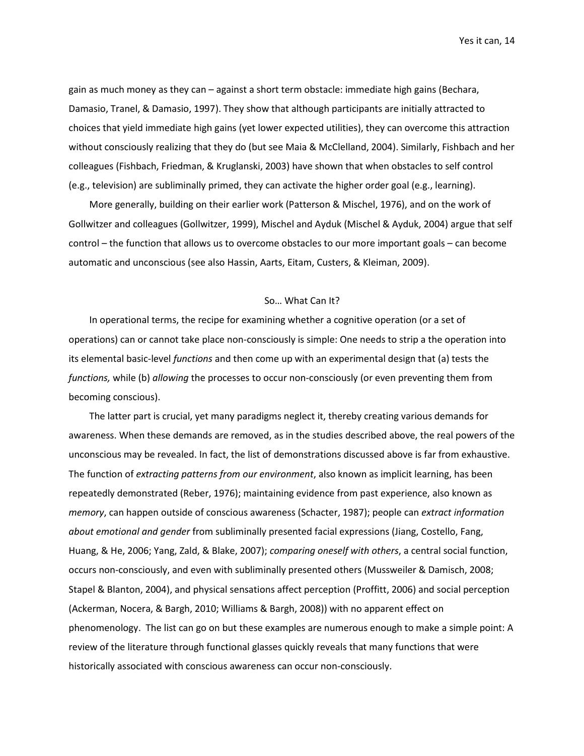gain as much money as they can – against a short term obstacle: immediate high gains [\(Bechara,](#page-23-7)  [Damasio, Tranel, & Damasio, 1997\)](#page-23-7). They show that although participants are initially attracted to choices that yield immediate high gains (yet lower expected utilities), they can overcome this attraction without consciously realizing that they do [\(but see Maia & McClelland, 2004\)](#page-26-12). Similarly, Fishbach and her colleagues [\(Fishbach, Friedman, & Kruglanski, 2003\)](#page-24-10) have shown that when obstacles to self control (e.g., television) are subliminally primed, they can activate the higher order goal (e.g., learning).

More generally, building on their earlier work [\(Patterson & Mischel, 1976\)](#page-27-9), and on the work of Gollwitzer and colleagues [\(Gollwitzer, 1999\)](#page-24-11), Mischel and Ayduk [\(Mischel & Ayduk, 2004\)](#page-27-10) argue that self control – the function that allows us to overcome obstacles to our more important goals – can become automatic and unconscious [\(see also Hassin, Aarts, Eitam, Custers, & Kleiman, 2009\)](#page-25-10).

## So… What Can It?

In operational terms, the recipe for examining whether a cognitive operation (or a set of operations) can or cannot take place non-consciously is simple: One needs to strip a the operation into its elemental basic-level *functions* and then come up with an experimental design that (a) tests the *functions,* while (b) *allowing* the processes to occur non-consciously (or even preventing them from becoming conscious).

The latter part is crucial, yet many paradigms neglect it, thereby creating various demands for awareness. When these demands are removed, as in the studies described above, the real powers of the unconscious may be revealed. In fact, the list of demonstrations discussed above is far from exhaustive. The function of *extracting patterns from our environment*, also known as implicit learning, has been repeatedly demonstrated (Reber, 1976); maintaining evidence from past experience, also known as *memory*, can happen outside of conscious awareness [\(Schacter, 1987\)](#page-28-7); people can *extract information about emotional and gender* from subliminally presented facial expressions [\(Jiang, Costello, Fang,](#page-25-11) [Huang, & He, 2006;](#page-25-11) [Yang, Zald, & Blake, 2007\)](#page-30-1); *comparing oneself with others*, a central social function, occurs non-consciously, and even with subliminally presented others [\(Mussweiler & Damisch, 2008;](#page-27-11) [Stapel & Blanton, 2004\)](#page-29-12), and physical sensations affect perception [\(Proffitt, 2006\)](#page-28-8) and social perception [\(Ackerman, Nocera, & Bargh, 2010;](#page-22-12) [Williams & Bargh, 2008\)](#page-29-13)) with no apparent effect on phenomenology. The list can go on but these examples are numerous enough to make a simple point: A review of the literature through functional glasses quickly reveals that many functions that were historically associated with conscious awareness can occur non-consciously.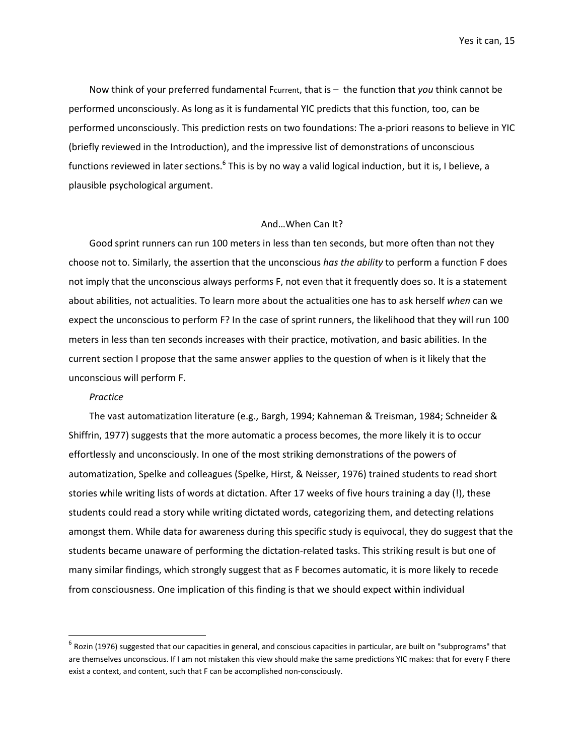Now think of your preferred fundamental Fcurrent, that is – the function that *you* think cannot be performed unconsciously. As long as it is fundamental YIC predicts that this function, too, can be performed unconsciously. This prediction rests on two foundations: The a-priori reasons to believe in YIC (briefly reviewed in the Introduction), and the impressive list of demonstrations of unconscious functions reviewed in later sections.<sup>6</sup> This is by no way a valid logical induction, but it is, I believe, a plausible psychological argument.

### And…When Can It?

Good sprint runners can run 100 meters in less than ten seconds, but more often than not they choose not to. Similarly, the assertion that the unconscious *has the ability* to perform a function F does not imply that the unconscious always performs F, not even that it frequently does so. It is a statement about abilities, not actualities. To learn more about the actualities one has to ask herself *when* can we expect the unconscious to perform F? In the case of sprint runners, the likelihood that they will run 100 meters in less than ten seconds increases with their practice, motivation, and basic abilities. In the current section I propose that the same answer applies to the question of when is it likely that the unconscious will perform F.

### *Practice*

l

The vast automatization literature (e.g.[, Bargh, 1994;](#page-22-13) [Kahneman & Treisman, 1984;](#page-25-12) [Schneider &](#page-28-9)  [Shiffrin, 1977\)](#page-28-9) suggests that the more automatic a process becomes, the more likely it is to occur effortlessly and unconsciously. In one of the most striking demonstrations of the powers of automatization, Spelke and colleagues [\(Spelke, Hirst, & Neisser, 1976\)](#page-28-10) trained students to read short stories while writing lists of words at dictation. After 17 weeks of five hours training a day (!), these students could read a story while writing dictated words, categorizing them, and detecting relations amongst them. While data for awareness during this specific study is equivocal, they do suggest that the students became unaware of performing the dictation-related tasks. This striking result is but one of many similar findings, which strongly suggest that as F becomes automatic, it is more likely to recede from consciousness. One implication of this finding is that we should expect within individual

 $^6$  Rozin (1976) suggested that our capacities in general, and conscious capacities in particular, are built on "subprograms" that are themselves unconscious. If I am not mistaken this view should make the same predictions YIC makes: that for every F there exist a context, and content, such that F can be accomplished non-consciously.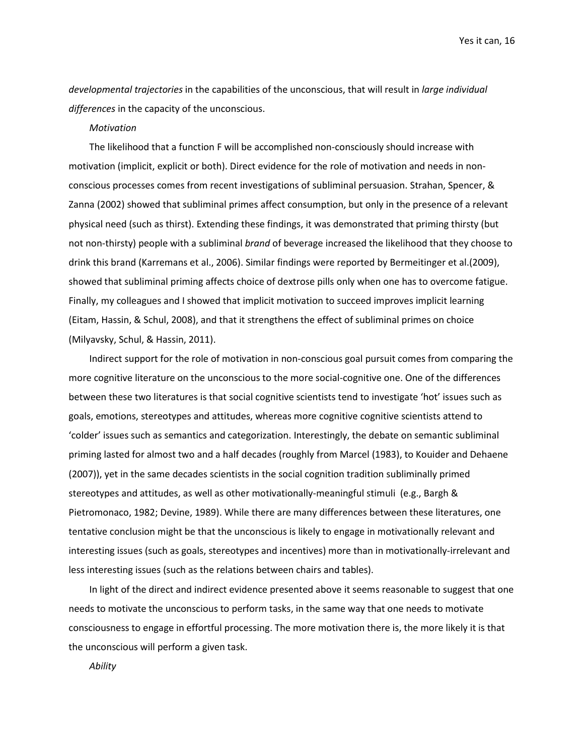*developmental trajectories* in the capabilities of the unconscious, that will result in *large individual differences* in the capacity of the unconscious.

#### *Motivation*

The likelihood that a function F will be accomplished non-consciously should increase with motivation (implicit, explicit or both). Direct evidence for the role of motivation and needs in nonconscious processes comes from recent investigations of subliminal persuasion. Strahan, Spencer, & Zanna [\(2002\)](#page-29-8) showed that subliminal primes affect consumption, but only in the presence of a relevant physical need (such as thirst). Extending these findings, it was demonstrated that priming thirsty (but not non-thirsty) people with a subliminal *brand* of beverage increased the likelihood that they choose to drink this brand [\(Karremans et al., 2006\)](#page-25-4). Similar findings were reported by Bermeitinger et al.[\(2009\)](#page-23-8), showed that subliminal priming affects choice of dextrose pills only when one has to overcome fatigue. Finally, my colleagues and I showed that implicit motivation to succeed improves implicit learning [\(Eitam, Hassin, & Schul, 2008\)](#page-24-12), and that it strengthens the effect of subliminal primes on choice [\(Milyavsky, Schul, & Hassin, 2011\)](#page-27-12).

Indirect support for the role of motivation in non-conscious goal pursuit comes from comparing the more cognitive literature on the unconscious to the more social-cognitive one. One of the differences between these two literatures is that social cognitive scientists tend to investigate 'hot' issues such as goals, emotions, stereotypes and attitudes, whereas more cognitive cognitive scientists attend to 'colder' issues such as semantics and categorization. Interestingly, the debate on semantic subliminal priming lasted for almost two and a half decades (roughly from Marcel [\(1983\)](#page-26-13), to Kouider and Dehaene [\(2007\)](#page-26-1)), yet in the same decades scientists in the social cognition tradition subliminally primed stereotypes and attitudes, as well as other motivationally-meaningful stimuli (e.g., [Bargh &](#page-23-9)  [Pietromonaco, 1982;](#page-23-9) [Devine, 1989\)](#page-24-13). While there are many differences between these literatures, one tentative conclusion might be that the unconscious is likely to engage in motivationally relevant and interesting issues (such as goals, stereotypes and incentives) more than in motivationally-irrelevant and less interesting issues (such as the relations between chairs and tables).

In light of the direct and indirect evidence presented above it seems reasonable to suggest that one needs to motivate the unconscious to perform tasks, in the same way that one needs to motivate consciousness to engage in effortful processing. The more motivation there is, the more likely it is that the unconscious will perform a given task.

*Ability*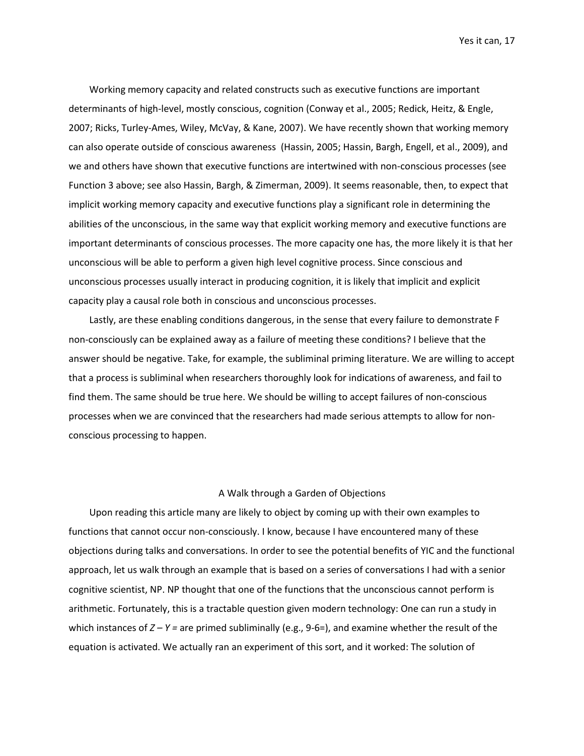Working memory capacity and related constructs such as executive functions are important determinants of high-level, mostly conscious, cognition [\(Conway et al., 2005;](#page-23-10) [Redick, Heitz, & Engle,](#page-28-11)  [2007;](#page-28-11) [Ricks, Turley-Ames, Wiley, McVay, & Kane, 2007\)](#page-28-12). We have recently shown that working memory can also operate outside of conscious awareness [\(Hassin, 2005;](#page-25-2) [Hassin, Bargh, Engell, et al., 2009\)](#page-25-3), and we and others have shown that executive functions are intertwined with non-conscious processes [\(see](#page-25-13)  [Function 3 above; see also Hassin, Bargh, & Zimerman, 2009\)](#page-25-13). It seems reasonable, then, to expect that implicit working memory capacity and executive functions play a significant role in determining the abilities of the unconscious, in the same way that explicit working memory and executive functions are important determinants of conscious processes. The more capacity one has, the more likely it is that her unconscious will be able to perform a given high level cognitive process. Since conscious and unconscious processes usually interact in producing cognition, it is likely that implicit and explicit capacity play a causal role both in conscious and unconscious processes.

Lastly, are these enabling conditions dangerous, in the sense that every failure to demonstrate F non-consciously can be explained away as a failure of meeting these conditions? I believe that the answer should be negative. Take, for example, the subliminal priming literature. We are willing to accept that a process is subliminal when researchers thoroughly look for indications of awareness, and fail to find them. The same should be true here. We should be willing to accept failures of non-conscious processes when we are convinced that the researchers had made serious attempts to allow for nonconscious processing to happen.

## A Walk through a Garden of Objections

Upon reading this article many are likely to object by coming up with their own examples to functions that cannot occur non-consciously. I know, because I have encountered many of these objections during talks and conversations. In order to see the potential benefits of YIC and the functional approach, let us walk through an example that is based on a series of conversations I had with a senior cognitive scientist, NP. NP thought that one of the functions that the unconscious cannot perform is arithmetic. Fortunately, this is a tractable question given modern technology: One can run a study in which instances of *Z – Y =* are primed subliminally (e.g., 9-6=), and examine whether the result of the equation is activated. We actually ran an experiment of this sort, and it worked: The solution of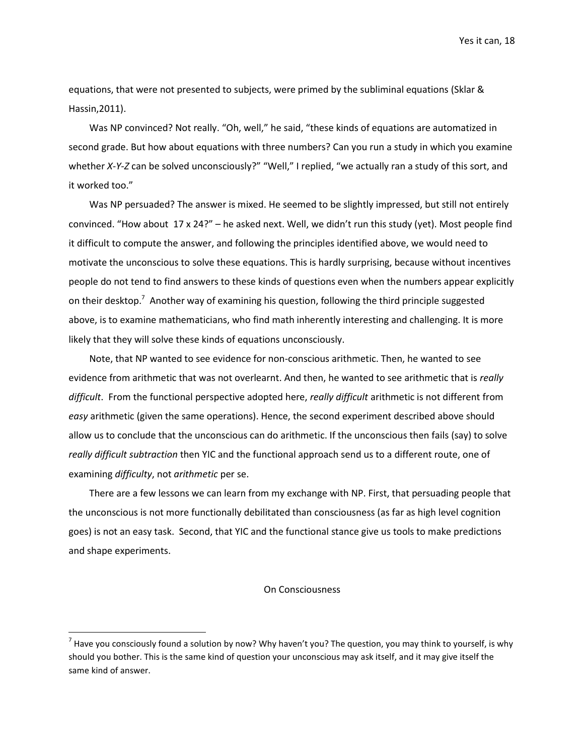equations, that were not presented to subjects, were primed by the subliminal equations (Sklar & Hassin,2011).

Was NP convinced? Not really. "Oh, well," he said, "these kinds of equations are automatized in second grade. But how about equations with three numbers? Can you run a study in which you examine whether *X-Y-Z* can be solved unconsciously?" "Well," I replied, "we actually ran a study of this sort, and it worked too."

Was NP persuaded? The answer is mixed. He seemed to be slightly impressed, but still not entirely convinced. "How about 17 x 24?" – he asked next. Well, we didn't run this study (yet). Most people find it difficult to compute the answer, and following the principles identified above, we would need to motivate the unconscious to solve these equations. This is hardly surprising, because without incentives people do not tend to find answers to these kinds of questions even when the numbers appear explicitly on their desktop.<sup>7</sup> Another way of examining his question, following the third principle suggested above, is to examine mathematicians, who find math inherently interesting and challenging. It is more likely that they will solve these kinds of equations unconsciously.

Note, that NP wanted to see evidence for non-conscious arithmetic. Then, he wanted to see evidence from arithmetic that was not overlearnt. And then, he wanted to see arithmetic that is *really difficult*. From the functional perspective adopted here, *really difficult* arithmetic is not different from *easy* arithmetic (given the same operations). Hence, the second experiment described above should allow us to conclude that the unconscious can do arithmetic. If the unconscious then fails (say) to solve *really difficult subtraction* then YIC and the functional approach send us to a different route, one of examining *difficulty*, not *arithmetic* per se.

There are a few lessons we can learn from my exchange with NP. First, that persuading people that the unconscious is not more functionally debilitated than consciousness (as far as high level cognition goes) is not an easy task. Second, that YIC and the functional stance give us tools to make predictions and shape experiments.

#### On Consciousness

l

 $^7$  Have you consciously found a solution by now? Why haven't you? The question, you may think to yourself, is why should you bother. This is the same kind of question your unconscious may ask itself, and it may give itself the same kind of answer.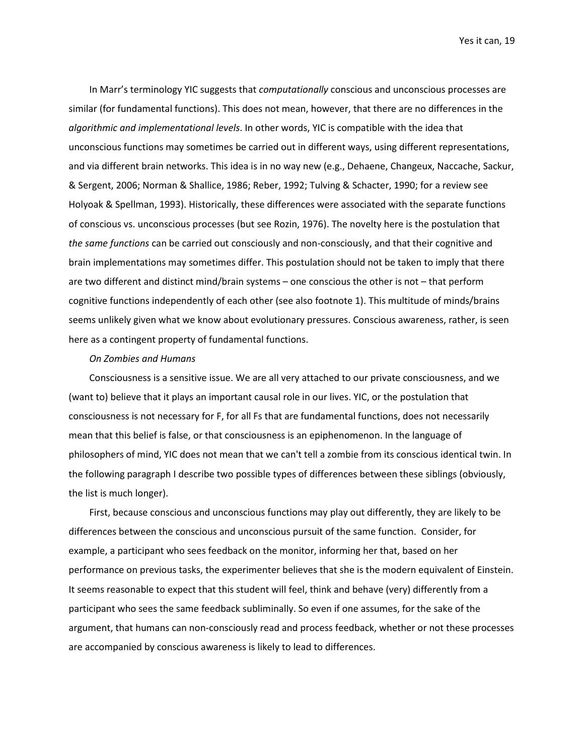In Marr's terminology YIC suggests that *computationally* conscious and unconscious processes are similar (for fundamental functions). This does not mean, however, that there are no differences in the *algorithmic and implementational levels*. In other words, YIC is compatible with the idea that unconscious functions may sometimes be carried out in different ways, using different representations, and via different brain networks. This idea is in no way new (e.g., [Dehaene, Changeux, Naccache, Sackur,](#page-23-11)  [& Sergent, 2006;](#page-23-11) [Norman & Shallice, 1986;](#page-27-2) [Reber, 1992;](#page-28-0) [Tulving & Schacter, 1990; for a review see](#page-29-14)  [Holyoak & Spellman, 1993\)](#page-29-14). Historically, these differences were associated with the separate functions of conscious vs. unconscious processes (but see Rozin, 1976). The novelty here is the postulation that *the same functions* can be carried out consciously and non-consciously, and that their cognitive and brain implementations may sometimes differ. This postulation should not be taken to imply that there are two different and distinct mind/brain systems – one conscious the other is not – that perform cognitive functions independently of each other (see also footnote 1). This multitude of minds/brains seems unlikely given what we know about evolutionary pressures. Conscious awareness, rather, is seen here as a contingent property of fundamental functions.

## *On Zombies and Humans*

Consciousness is a sensitive issue. We are all very attached to our private consciousness, and we (want to) believe that it plays an important causal role in our lives. YIC, or the postulation that consciousness is not necessary for F, for all Fs that are fundamental functions, does not necessarily mean that this belief is false, or that consciousness is an epiphenomenon. In the language of philosophers of mind, YIC does not mean that we can't tell a zombie from its conscious identical twin. In the following paragraph I describe two possible types of differences between these siblings (obviously, the list is much longer).

First, because conscious and unconscious functions may play out differently, they are likely to be differences between the conscious and unconscious pursuit of the same function. Consider, for example, a participant who sees feedback on the monitor, informing her that, based on her performance on previous tasks, the experimenter believes that she is the modern equivalent of Einstein. It seems reasonable to expect that this student will feel, think and behave (very) differently from a participant who sees the same feedback subliminally. So even if one assumes, for the sake of the argument, that humans can non-consciously read and process feedback, whether or not these processes are accompanied by conscious awareness is likely to lead to differences.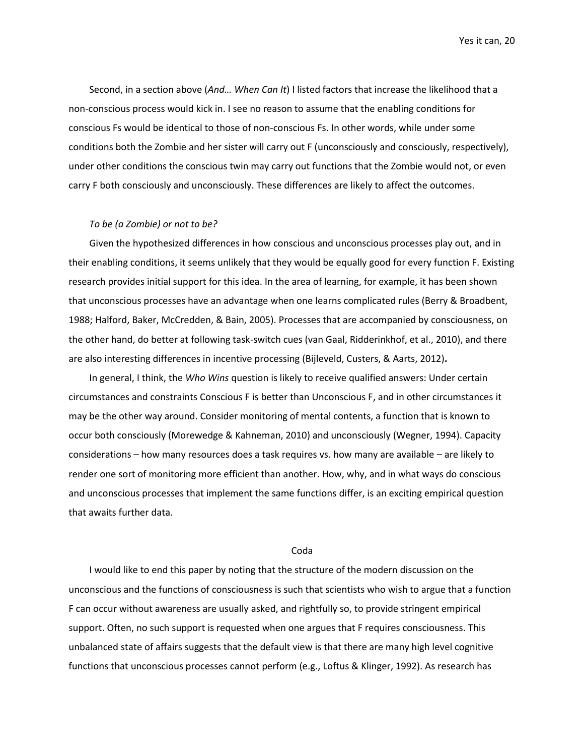Second, in a section above (*And… When Can It*) I listed factors that increase the likelihood that a non-conscious process would kick in. I see no reason to assume that the enabling conditions for conscious Fs would be identical to those of non-conscious Fs. In other words, while under some conditions both the Zombie and her sister will carry out F (unconsciously and consciously, respectively), under other conditions the conscious twin may carry out functions that the Zombie would not, or even carry F both consciously and unconsciously. These differences are likely to affect the outcomes.

#### *To be (a Zombie) or not to be?*

Given the hypothesized differences in how conscious and unconscious processes play out, and in their enabling conditions, it seems unlikely that they would be equally good for every function F. Existing research provides initial support for this idea. In the area of learning, for example, it has been shown that unconscious processes have an advantage when one learns complicated rules [\(Berry & Broadbent,](#page-23-12)  [1988;](#page-23-12) [Halford, Baker, McCredden, & Bain, 2005\)](#page-24-14). Processes that are accompanied by consciousness, on the other hand, do better at following task-switch cues [\(van Gaal, Ridderinkhof, et al., 2010\)](#page-29-5), and there are also interesting differences in incentive processing [\(Bijleveld, Custers, & Aarts, 2012\)](#page-23-13)**.** 

In general, I think, the *Who Wins* question is likely to receive qualified answers: Under certain circumstances and constraints Conscious F is better than Unconscious F, and in other circumstances it may be the other way around. Consider monitoring of mental contents, a function that is known to occur both consciously [\(Morewedge & Kahneman, 2010\)](#page-27-3) and unconsciously [\(Wegner, 1994\)](#page-29-15). Capacity considerations – how many resources does a task requires vs. how many are available – are likely to render one sort of monitoring more efficient than another. How, why, and in what ways do conscious and unconscious processes that implement the same functions differ, is an exciting empirical question that awaits further data.

# Coda

I would like to end this paper by noting that the structure of the modern discussion on the unconscious and the functions of consciousness is such that scientists who wish to argue that a function F can occur without awareness are usually asked, and rightfully so, to provide stringent empirical support. Often, no such support is requested when one argues that F requires consciousness. This unbalanced state of affairs suggests that the default view is that there are many high level cognitive functions that unconscious processes cannot perform (e.g., Loftus & Klinger, 1992). As research has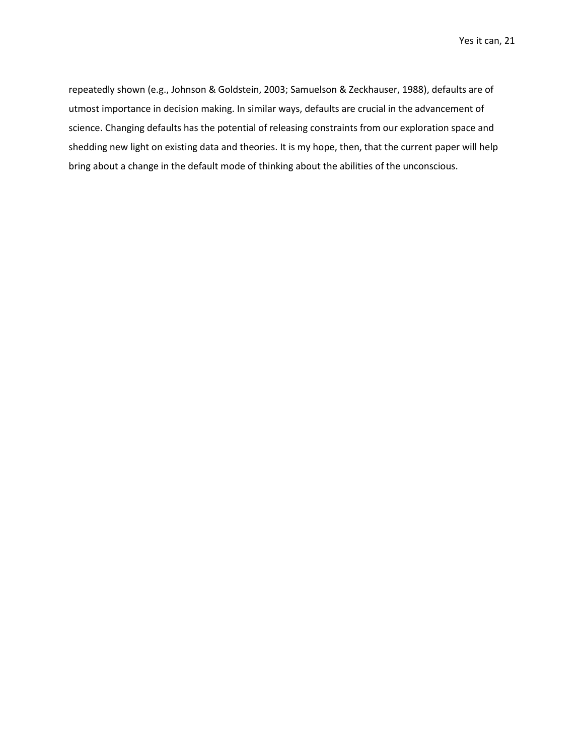repeatedly shown (e.g.[, Johnson & Goldstein, 2003;](#page-25-14) [Samuelson & Zeckhauser, 1988\)](#page-28-13), defaults are of utmost importance in decision making. In similar ways, defaults are crucial in the advancement of science. Changing defaults has the potential of releasing constraints from our exploration space and shedding new light on existing data and theories. It is my hope, then, that the current paper will help bring about a change in the default mode of thinking about the abilities of the unconscious.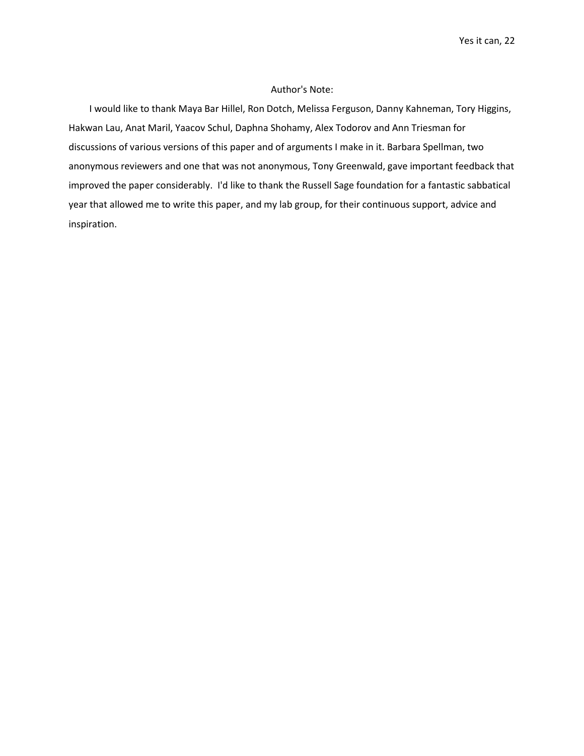# Author's Note:

I would like to thank Maya Bar Hillel, Ron Dotch, Melissa Ferguson, Danny Kahneman, Tory Higgins, Hakwan Lau, Anat Maril, Yaacov Schul, Daphna Shohamy, Alex Todorov and Ann Triesman for discussions of various versions of this paper and of arguments I make in it. Barbara Spellman, two anonymous reviewers and one that was not anonymous, Tony Greenwald, gave important feedback that improved the paper considerably. I'd like to thank the Russell Sage foundation for a fantastic sabbatical year that allowed me to write this paper, and my lab group, for their continuous support, advice and inspiration.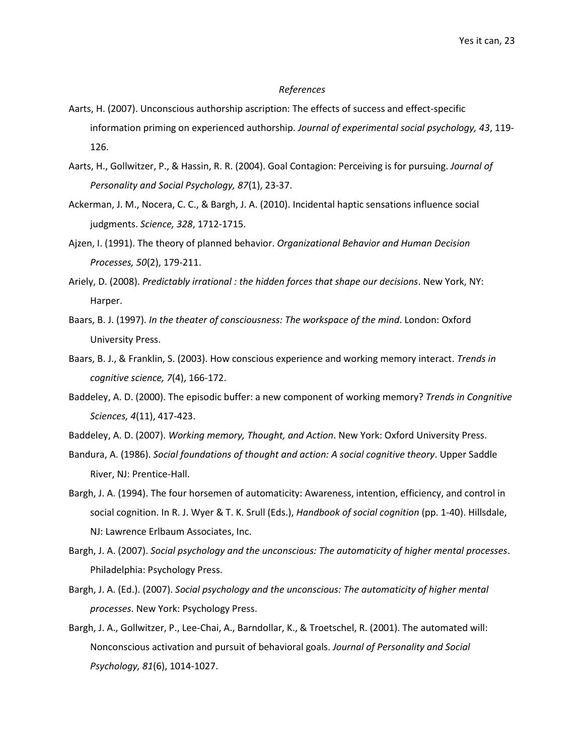#### *References*

- <span id="page-22-10"></span>Aarts, H. (2007). Unconscious authorship ascription: The effects of success and effect-specific information priming on experienced authorship. *Journal of experimental social psychology, 43*, 119- 126.
- <span id="page-22-8"></span>Aarts, H., Gollwitzer, P., & Hassin, R. R. (2004). Goal Contagion: Perceiving is for pursuing. *Journal of Personality and Social Psychology, 87*(1), 23-37.
- <span id="page-22-12"></span>Ackerman, J. M., Nocera, C. C., & Bargh, J. A. (2010). Incidental haptic sensations influence social judgments. *Science, 328*, 1712-1715.
- <span id="page-22-5"></span>Ajzen, I. (1991). The theory of planned behavior. *Organizational Behavior and Human Decision Processes, 50*(2), 179-211.
- <span id="page-22-11"></span>Ariely, D. (2008). *Predictably irrational : the hidden forces that shape our decisions*. New York, NY: Harper.
- <span id="page-22-9"></span>Baars, B. J. (1997). *In the theater of consciousness: The workspace of the mind*. London: Oxford University Press.
- <span id="page-22-2"></span>Baars, B. J., & Franklin, S. (2003). How conscious experience and working memory interact. *Trends in cognitive science, 7*(4), 166-172.
- <span id="page-22-3"></span>Baddeley, A. D. (2000). The episodic buffer: a new component of working memory? *Trends in Congnitive Sciences, 4*(11), 417-423.
- <span id="page-22-0"></span>Baddeley, A. D. (2007). *Working memory, Thought, and Action*. New York: Oxford University Press.
- <span id="page-22-6"></span>Bandura, A. (1986). *Social foundations of thought and action: A social cognitive theory*. Upper Saddle River, NJ: Prentice-Hall.
- <span id="page-22-13"></span>Bargh, J. A. (1994). The four horsemen of automaticity: Awareness, intention, efficiency, and control in social cognition. In R. J. Wyer & T. K. Srull (Eds.), *Handbook of social cognition* (pp. 1-40). Hillsdale, NJ: Lawrence Erlbaum Associates, Inc.
- <span id="page-22-1"></span>Bargh, J. A. (2007). *Social psychology and the unconscious: The automaticity of higher mental processes*. Philadelphia: Psychology Press.
- <span id="page-22-4"></span>Bargh, J. A. (Ed.). (2007). *Social psychology and the unconscious: The automaticity of higher mental processes*. New York: Psychology Press.
- <span id="page-22-7"></span>Bargh, J. A., Gollwitzer, P., Lee-Chai, A., Barndollar, K., & Troetschel, R. (2001). The automated will: Nonconscious activation and pursuit of behavioral goals. *Journal of Personality and Social Psychology, 81*(6), 1014-1027.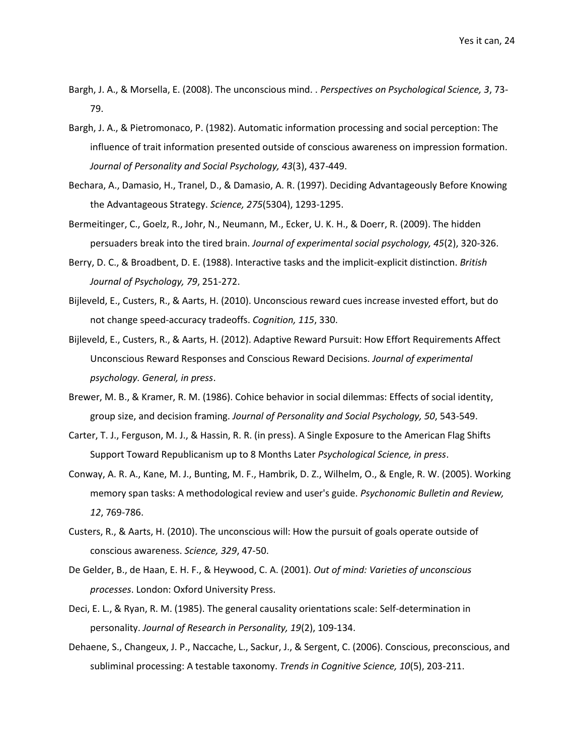- <span id="page-23-0"></span>Bargh, J. A., & Morsella, E. (2008). The unconscious mind. . *Perspectives on Psychological Science, 3*, 73- 79.
- <span id="page-23-9"></span>Bargh, J. A., & Pietromonaco, P. (1982). Automatic information processing and social perception: The influence of trait information presented outside of conscious awareness on impression formation. *Journal of Personality and Social Psychology, 43*(3), 437-449.
- <span id="page-23-7"></span>Bechara, A., Damasio, H., Tranel, D., & Damasio, A. R. (1997). Deciding Advantageously Before Knowing the Advantageous Strategy. *Science, 275*(5304), 1293-1295.
- <span id="page-23-8"></span>Bermeitinger, C., Goelz, R., Johr, N., Neumann, M., Ecker, U. K. H., & Doerr, R. (2009). The hidden persuaders break into the tired brain. *Journal of experimental social psychology, 45*(2), 320-326.
- <span id="page-23-12"></span>Berry, D. C., & Broadbent, D. E. (1988). Interactive tasks and the implicit-explicit distinction. *British Journal of Psychology, 79*, 251-272.
- <span id="page-23-2"></span>Bijleveld, E., Custers, R., & Aarts, H. (2010). Unconscious reward cues increase invested effort, but do not change speed-accuracy tradeoffs. *Cognition, 115*, 330.
- <span id="page-23-13"></span>Bijleveld, E., Custers, R., & Aarts, H. (2012). Adaptive Reward Pursuit: How Effort Requirements Affect Unconscious Reward Responses and Conscious Reward Decisions. *Journal of experimental psychology. General, in press*.
- <span id="page-23-5"></span>Brewer, M. B., & Kramer, R. M. (1986). Cohice behavior in social dilemmas: Effects of social identity, group size, and decision framing. *Journal of Personality and Social Psychology, 50*, 543-549.
- <span id="page-23-6"></span>Carter, T. J., Ferguson, M. J., & Hassin, R. R. (in press). A Single Exposure to the American Flag Shifts Support Toward Republicanism up to 8 Months Later *Psychological Science, in press*.
- <span id="page-23-10"></span>Conway, A. R. A., Kane, M. J., Bunting, M. F., Hambrik, D. Z., Wilhelm, O., & Engle, R. W. (2005). Working memory span tasks: A methodological review and user's guide. *Psychonomic Bulletin and Review, 12*, 769-786.
- <span id="page-23-4"></span>Custers, R., & Aarts, H. (2010). The unconscious will: How the pursuit of goals operate outside of conscious awareness. *Science, 329*, 47-50.
- <span id="page-23-1"></span>De Gelder, B., de Haan, E. H. F., & Heywood, C. A. (2001). *Out of mind: Varieties of unconscious processes*. London: Oxford University Press.
- <span id="page-23-3"></span>Deci, E. L., & Ryan, R. M. (1985). The general causality orientations scale: Self-determination in personality. *Journal of Research in Personality, 19*(2), 109-134.
- <span id="page-23-11"></span>Dehaene, S., Changeux, J. P., Naccache, L., Sackur, J., & Sergent, C. (2006). Conscious, preconscious, and subliminal processing: A testable taxonomy. *Trends in Cognitive Science, 10*(5), 203-211.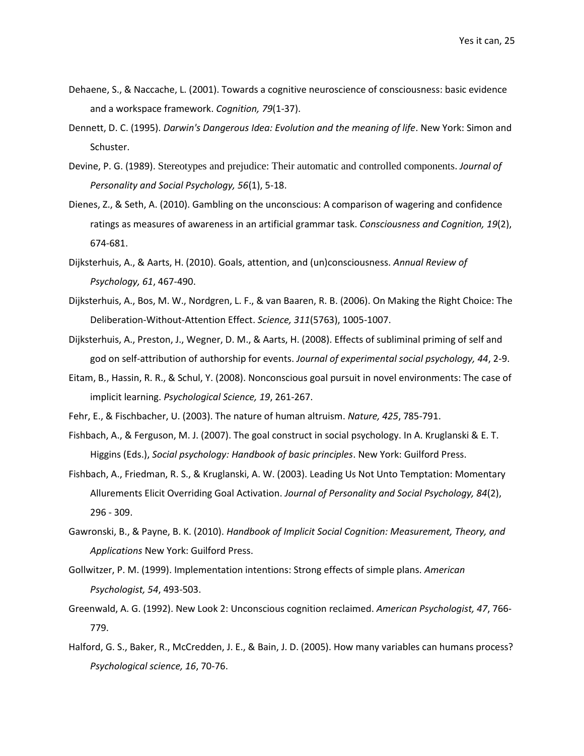- <span id="page-24-6"></span>Dehaene, S., & Naccache, L. (2001). Towards a cognitive neuroscience of consciousness: basic evidence and a workspace framework. *Cognition, 79*(1-37).
- <span id="page-24-0"></span>Dennett, D. C. (1995). *Darwin's Dangerous Idea: Evolution and the meaning of life*. New York: Simon and Schuster.
- <span id="page-24-13"></span>Devine, P. G. (1989). Stereotypes and prejudice: Their automatic and controlled components. *Journal of Personality and Social Psychology, 56*(1), 5-18.
- <span id="page-24-2"></span>Dienes, Z., & Seth, A. (2010). Gambling on the unconscious: A comparison of wagering and confidence ratings as measures of awareness in an artificial grammar task. *Consciousness and Cognition, 19*(2), 674-681.
- <span id="page-24-3"></span>Dijksterhuis, A., & Aarts, H. (2010). Goals, attention, and (un)consciousness. *Annual Review of Psychology, 61*, 467-490.
- <span id="page-24-9"></span>Dijksterhuis, A., Bos, M. W., Nordgren, L. F., & van Baaren, R. B. (2006). On Making the Right Choice: The Deliberation-Without-Attention Effect. *Science, 311*(5763), 1005-1007.
- <span id="page-24-8"></span>Dijksterhuis, A., Preston, J., Wegner, D. M., & Aarts, H. (2008). Effects of subliminal priming of self and god on self-attribution of authorship for events. *Journal of experimental social psychology, 44*, 2-9.
- <span id="page-24-12"></span>Eitam, B., Hassin, R. R., & Schul, Y. (2008). Nonconscious goal pursuit in novel environments: The case of implicit learning. *Psychological Science, 19*, 261-267.
- <span id="page-24-5"></span>Fehr, E., & Fischbacher, U. (2003). The nature of human altruism. *Nature, 425*, 785-791.
- <span id="page-24-4"></span>Fishbach, A., & Ferguson, M. J. (2007). The goal construct in social psychology. In A. Kruglanski & E. T. Higgins (Eds.), *Social psychology: Handbook of basic principles*. New York: Guilford Press.
- <span id="page-24-10"></span>Fishbach, A., Friedman, R. S., & Kruglanski, A. W. (2003). Leading Us Not Unto Temptation: Momentary Allurements Elicit Overriding Goal Activation. *Journal of Personality and Social Psychology, 84*(2), 296 - 309.
- <span id="page-24-1"></span>Gawronski, B., & Payne, B. K. (2010). *Handbook of Implicit Social Cognition: Measurement, Theory, and Applications* New York: Guilford Press.
- <span id="page-24-11"></span>Gollwitzer, P. M. (1999). Implementation intentions: Strong effects of simple plans. *American Psychologist, 54*, 493-503.
- <span id="page-24-7"></span>Greenwald, A. G. (1992). New Look 2: Unconscious cognition reclaimed. *American Psychologist, 47*, 766- 779.
- <span id="page-24-14"></span>Halford, G. S., Baker, R., McCredden, J. E., & Bain, J. D. (2005). How many variables can humans process? *Psychological science, 16*, 70-76.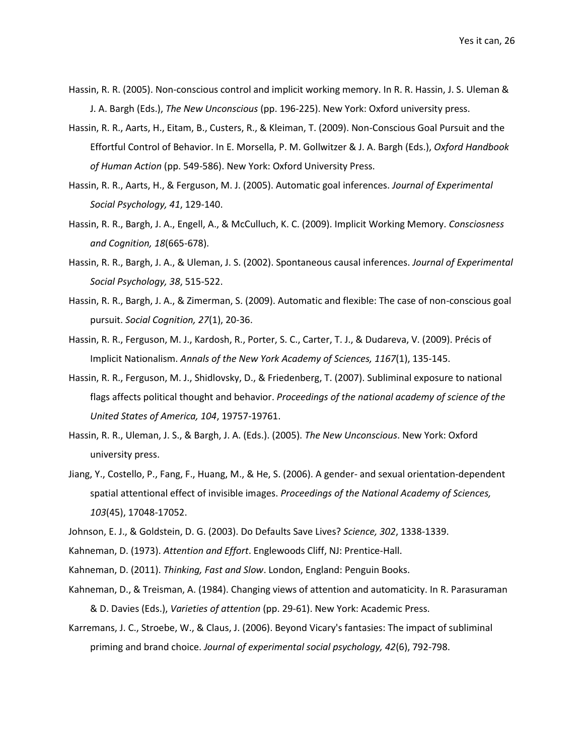- <span id="page-25-2"></span>Hassin, R. R. (2005). Non-conscious control and implicit working memory. In R. R. Hassin, J. S. Uleman & J. A. Bargh (Eds.), *The New Unconscious* (pp. 196-225). New York: Oxford university press.
- <span id="page-25-10"></span>Hassin, R. R., Aarts, H., Eitam, B., Custers, R., & Kleiman, T. (2009). Non-Conscious Goal Pursuit and the Effortful Control of Behavior. In E. Morsella, P. M. Gollwitzer & J. A. Bargh (Eds.), *Oxford Handbook of Human Action* (pp. 549-586). New York: Oxford University Press.
- <span id="page-25-7"></span>Hassin, R. R., Aarts, H., & Ferguson, M. J. (2005). Automatic goal inferences. *Journal of Experimental Social Psychology, 41*, 129-140.
- <span id="page-25-3"></span>Hassin, R. R., Bargh, J. A., Engell, A., & McCulluch, K. C. (2009). Implicit Working Memory. *Consciosness and Cognition, 18*(665-678).
- <span id="page-25-8"></span>Hassin, R. R., Bargh, J. A., & Uleman, J. S. (2002). Spontaneous causal inferences. *Journal of Experimental Social Psychology, 38*, 515-522.
- <span id="page-25-13"></span>Hassin, R. R., Bargh, J. A., & Zimerman, S. (2009). Automatic and flexible: The case of non-conscious goal pursuit. *Social Cognition, 27*(1), 20-36.
- <span id="page-25-5"></span>Hassin, R. R., Ferguson, M. J., Kardosh, R., Porter, S. C., Carter, T. J., & Dudareva, V. (2009). Précis of Implicit Nationalism. *Annals of the New York Academy of Sciences, 1167*(1), 135-145.
- <span id="page-25-6"></span>Hassin, R. R., Ferguson, M. J., Shidlovsky, D., & Friedenberg, T. (2007). Subliminal exposure to national flags affects political thought and behavior. *Proceedings of the national academy of science of the United States of America, 104*, 19757-19761.
- <span id="page-25-1"></span>Hassin, R. R., Uleman, J. S., & Bargh, J. A. (Eds.). (2005). *The New Unconscious*. New York: Oxford university press.
- <span id="page-25-11"></span>Jiang, Y., Costello, P., Fang, F., Huang, M., & He, S. (2006). A gender- and sexual orientation-dependent spatial attentional effect of invisible images. *Proceedings of the National Academy of Sciences, 103*(45), 17048-17052.
- <span id="page-25-14"></span>Johnson, E. J., & Goldstein, D. G. (2003). Do Defaults Save Lives? *Science, 302*, 1338-1339.
- <span id="page-25-0"></span>Kahneman, D. (1973). *Attention and Effort*. Englewoods Cliff, NJ: Prentice-Hall.
- <span id="page-25-9"></span>Kahneman, D. (2011). *Thinking, Fast and Slow*. London, England: Penguin Books.
- <span id="page-25-12"></span>Kahneman, D., & Treisman, A. (1984). Changing views of attention and automaticity. In R. Parasuraman & D. Davies (Eds.), *Varieties of attention* (pp. 29-61). New York: Academic Press.
- <span id="page-25-4"></span>Karremans, J. C., Stroebe, W., & Claus, J. (2006). Beyond Vicary's fantasies: The impact of subliminal priming and brand choice. *Journal of experimental social psychology, 42*(6), 792-798.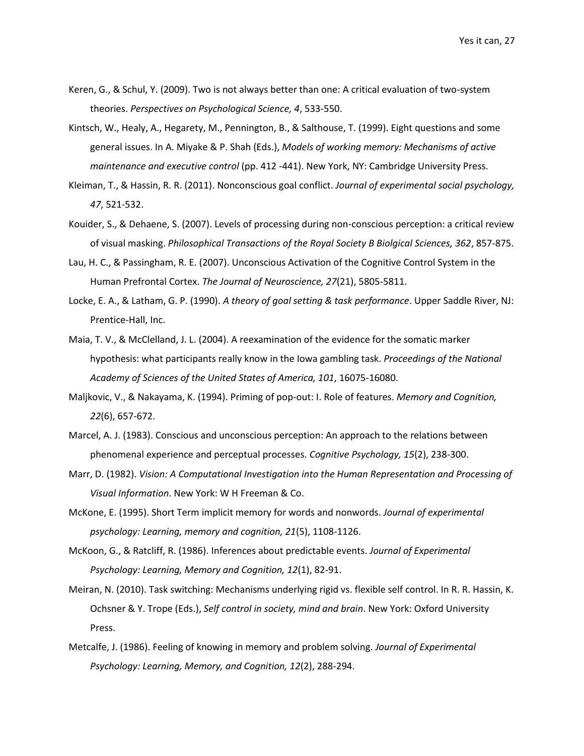- <span id="page-26-0"></span>Keren, G., & Schul, Y. (2009). Two is not always better than one: A critical evaluation of two-system theories. *Perspectives on Psychological Science, 4*, 533-550.
- <span id="page-26-3"></span>Kintsch, W., Healy, A., Hegarety, M., Pennington, B., & Salthouse, T. (1999). Eight questions and some general issues. In A. Miyake & P. Shah (Eds.), *Models of working memory: Mechanisms of active maintenance and executive control* (pp. 412 -441). New York, NY: Cambridge University Press.
- <span id="page-26-9"></span>Kleiman, T., & Hassin, R. R. (2011). Nonconscious goal conflict. *Journal of experimental social psychology, 47*, 521-532.
- <span id="page-26-1"></span>Kouider, S., & Dehaene, S. (2007). Levels of processing during non-conscious perception: a critical review of visual masking. *Philosophical Transactions of the Royal Society B Biolgical Sciences, 362*, 857-875.
- <span id="page-26-5"></span>Lau, H. C., & Passingham, R. E. (2007). Unconscious Activation of the Cognitive Control System in the Human Prefrontal Cortex. *The Journal of Neuroscience, 27*(21), 5805-5811.
- <span id="page-26-8"></span>Locke, E. A., & Latham, G. P. (1990). *A theory of goal setting & task performance*. Upper Saddle River, NJ: Prentice-Hall, Inc.
- <span id="page-26-12"></span>Maia, T. V., & McClelland, J. L. (2004). A reexamination of the evidence for the somatic marker hypothesis: what participants really know in the Iowa gambling task. *Proceedings of the National Academy of Sciences of the United States of America, 101*, 16075-16080.
- <span id="page-26-6"></span>Maljkovic, V., & Nakayama, K. (1994). Priming of pop-out: I. Role of features. *Memory and Cognition, 22*(6), 657-672.
- <span id="page-26-13"></span>Marcel, A. J. (1983). Conscious and unconscious perception: An approach to the relations between phenomenal experience and perceptual processes. *Cognitive Psychology, 15*(2), 238-300.
- <span id="page-26-2"></span>Marr, D. (1982). *Vision: A Computational Investigation into the Human Representation and Processing of Visual Information*. New York: W H Freeman & Co.
- <span id="page-26-7"></span>McKone, E. (1995). Short Term implicit memory for words and nonwords. *Journal of experimental psychology: Learning, memory and cognition, 21*(5), 1108-1126.
- <span id="page-26-10"></span>McKoon, G., & Ratcliff, R. (1986). Inferences about predictable events. *Journal of Experimental Psychology: Learning, Memory and Cognition, 12*(1), 82-91.
- <span id="page-26-4"></span>Meiran, N. (2010). Task switching: Mechanisms underlying rigid vs. flexible self control. In R. R. Hassin, K. Ochsner & Y. Trope (Eds.), *Self control in society, mind and brain*. New York: Oxford University Press.
- <span id="page-26-11"></span>Metcalfe, J. (1986). Feeling of knowing in memory and problem solving. *Journal of Experimental Psychology: Learning, Memory, and Cognition, 12*(2), 288-294.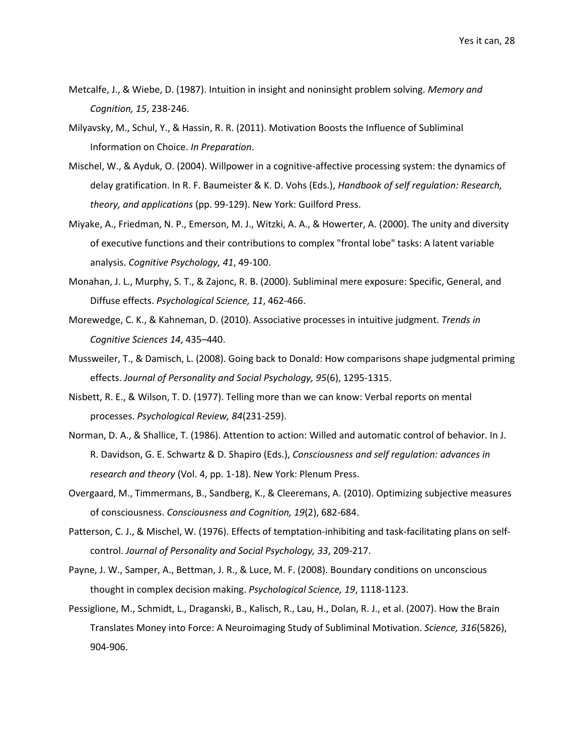- <span id="page-27-7"></span>Metcalfe, J., & Wiebe, D. (1987). Intuition in insight and noninsight problem solving. *Memory and Cognition, 15*, 238-246.
- <span id="page-27-12"></span>Milyavsky, M., Schul, Y., & Hassin, R. R. (2011). Motivation Boosts the Influence of Subliminal Information on Choice. *In Preparation*.
- <span id="page-27-10"></span>Mischel, W., & Ayduk, O. (2004). Willpower in a cognitive-affective processing system: the dynamics of delay gratification. In R. F. Baumeister & K. D. Vohs (Eds.), *Handbook of self regulation: Research, theory, and applications* (pp. 99-129). New York: Guilford Press.
- <span id="page-27-1"></span>Miyake, A., Friedman, N. P., Emerson, M. J., Witzki, A. A., & Howerter, A. (2000). The unity and diversity of executive functions and their contributions to complex "frontal lobe" tasks: A latent variable analysis. *Cognitive Psychology, 41*, 49-100.
- <span id="page-27-6"></span>Monahan, J. L., Murphy, S. T., & Zajonc, R. B. (2000). Subliminal mere exposure: Specific, General, and Diffuse effects. *Psychological Science, 11*, 462-466.
- <span id="page-27-3"></span>Morewedge, C. K., & Kahneman, D. (2010). Associative processes in intuitive judgment. *Trends in Cognitive Sciences 14*, 435–440.
- <span id="page-27-11"></span>Mussweiler, T., & Damisch, L. (2008). Going back to Donald: How comparisons shape judgmental priming effects. *Journal of Personality and Social Psychology, 95*(6), 1295-1315.
- <span id="page-27-4"></span>Nisbett, R. E., & Wilson, T. D. (1977). Telling more than we can know: Verbal reports on mental processes. *Psychological Review, 84*(231-259).
- <span id="page-27-2"></span>Norman, D. A., & Shallice, T. (1986). Attention to action: Willed and automatic control of behavior. In J. R. Davidson, G. E. Schwartz & D. Shapiro (Eds.), *Consciousness and self regulation: advances in research and theory* (Vol. 4, pp. 1-18). New York: Plenum Press.
- <span id="page-27-0"></span>Overgaard, M., Timmermans, B., Sandberg, K., & Cleeremans, A. (2010). Optimizing subjective measures of consciousness. *Consciousness and Cognition, 19*(2), 682-684.
- <span id="page-27-9"></span>Patterson, C. J., & Mischel, W. (1976). Effects of temptation-inhibiting and task-facilitating plans on selfcontrol. *Journal of Personality and Social Psychology, 33*, 209-217.
- <span id="page-27-8"></span>Payne, J. W., Samper, A., Bettman, J. R., & Luce, M. F. (2008). Boundary conditions on unconscious thought in complex decision making. *Psychological Science, 19*, 1118-1123.
- <span id="page-27-5"></span>Pessiglione, M., Schmidt, L., Draganski, B., Kalisch, R., Lau, H., Dolan, R. J., et al. (2007). How the Brain Translates Money into Force: A Neuroimaging Study of Subliminal Motivation. *Science, 316*(5826), 904-906.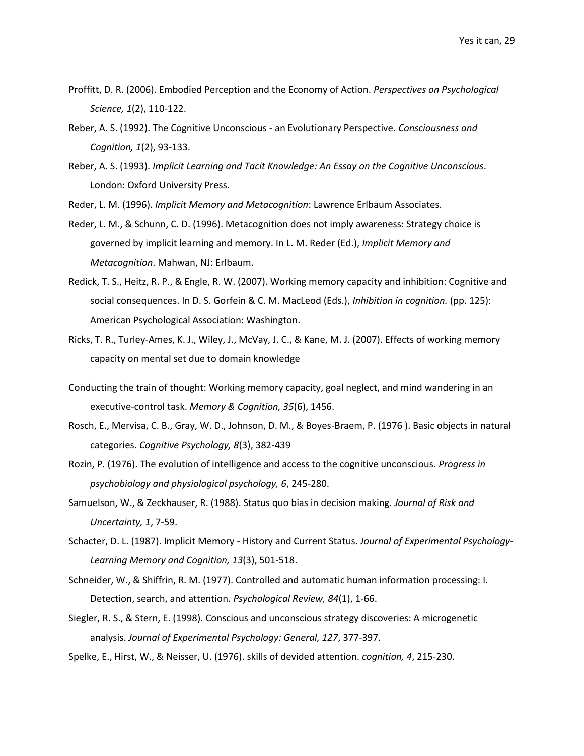- <span id="page-28-8"></span>Proffitt, D. R. (2006). Embodied Perception and the Economy of Action. *Perspectives on Psychological Science, 1*(2), 110-122.
- <span id="page-28-0"></span>Reber, A. S. (1992). The Cognitive Unconscious - an Evolutionary Perspective. *Consciousness and Cognition, 1*(2), 93-133.
- <span id="page-28-3"></span>Reber, A. S. (1993). *Implicit Learning and Tacit Knowledge: An Essay on the Cognitive Unconscious*. London: Oxford University Press.
- <span id="page-28-4"></span>Reder, L. M. (1996). *Implicit Memory and Metacognition*: Lawrence Erlbaum Associates.
- <span id="page-28-5"></span>Reder, L. M., & Schunn, C. D. (1996). Metacognition does not imply awareness: Strategy choice is governed by implicit learning and memory. In L. M. Reder (Ed.), *Implicit Memory and Metacognition*. Mahwan, NJ: Erlbaum.
- <span id="page-28-11"></span>Redick, T. S., Heitz, R. P., & Engle, R. W. (2007). Working memory capacity and inhibition: Cognitive and social consequences. In D. S. Gorfein & C. M. MacLeod (Eds.), *Inhibition in cognition.* (pp. 125): American Psychological Association: Washington.
- <span id="page-28-12"></span>Ricks, T. R., Turley-Ames, K. J., Wiley, J., McVay, J. C., & Kane, M. J. (2007). Effects of working memory capacity on mental set due to domain knowledge
- Conducting the train of thought: Working memory capacity, goal neglect, and mind wandering in an executive-control task. *Memory & Cognition, 35*(6), 1456.
- <span id="page-28-2"></span>Rosch, E., Mervisa, C. B., Gray, W. D., Johnson, D. M., & Boyes-Braem, P. (1976 ). Basic objects in natural categories. *Cognitive Psychology, 8*(3), 382-439
- <span id="page-28-1"></span>Rozin, P. (1976). The evolution of intelligence and access to the cognitive unconscious. *Progress in psychobiology and physiological psychology, 6*, 245-280.
- <span id="page-28-13"></span>Samuelson, W., & Zeckhauser, R. (1988). Status quo bias in decision making. *Journal of Risk and Uncertainty, 1*, 7-59.
- <span id="page-28-7"></span>Schacter, D. L. (1987). Implicit Memory - History and Current Status. *Journal of Experimental Psychology-Learning Memory and Cognition, 13*(3), 501-518.
- <span id="page-28-9"></span>Schneider, W., & Shiffrin, R. M. (1977). Controlled and automatic human information processing: I. Detection, search, and attention. *Psychological Review, 84*(1), 1-66.
- <span id="page-28-6"></span>Siegler, R. S., & Stern, E. (1998). Conscious and unconscious strategy discoveries: A microgenetic analysis. *Journal of Experimental Psychology: General, 127*, 377-397.
- <span id="page-28-10"></span>Spelke, E., Hirst, W., & Neisser, U. (1976). skills of devided attention. *cognition, 4*, 215-230.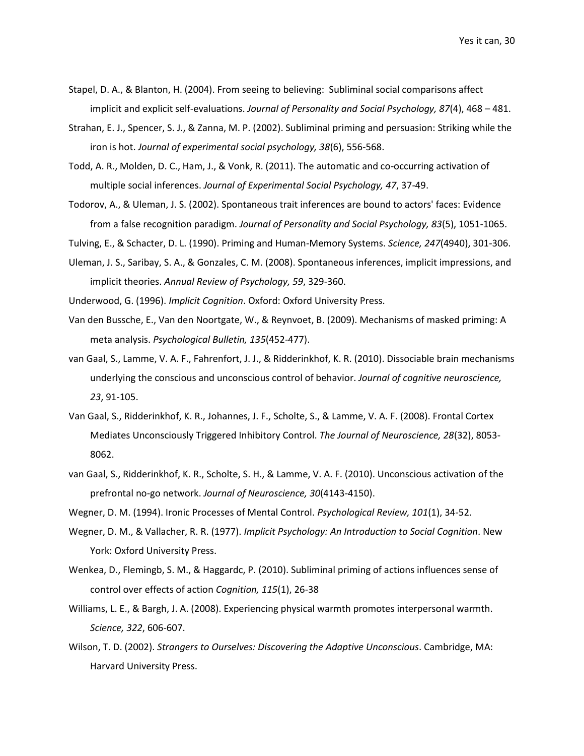- <span id="page-29-12"></span>Stapel, D. A., & Blanton, H. (2004). From seeing to believing: Subliminal social comparisons affect implicit and explicit self-evaluations. *Journal of Personality and Social Psychology, 87*(4), 468 – 481.
- <span id="page-29-8"></span>Strahan, E. J., Spencer, S. J., & Zanna, M. P. (2002). Subliminal priming and persuasion: Striking while the iron is hot. *Journal of experimental social psychology, 38*(6), 556-568.
- <span id="page-29-11"></span>Todd, A. R., Molden, D. C., Ham, J., & Vonk, R. (2011). The automatic and co-occurring activation of multiple social inferences. *Journal of Experimental Social Psychology, 47*, 37-49.
- <span id="page-29-9"></span>Todorov, A., & Uleman, J. S. (2002). Spontaneous trait inferences are bound to actors' faces: Evidence from a false recognition paradigm. *Journal of Personality and Social Psychology, 83*(5), 1051-1065.
- <span id="page-29-14"></span>Tulving, E., & Schacter, D. L. (1990). Priming and Human-Memory Systems. *Science, 247*(4940), 301-306.
- <span id="page-29-10"></span>Uleman, J. S., Saribay, S. A., & Gonzales, C. M. (2008). Spontaneous inferences, implicit impressions, and implicit theories. *Annual Review of Psychology, 59*, 329-360.
- <span id="page-29-2"></span>Underwood, G. (1996). *Implicit Cognition*. Oxford: Oxford University Press.
- <span id="page-29-0"></span>Van den Bussche, E., Van den Noortgate, W., & Reynvoet, B. (2009). Mechanisms of masked priming: A meta analysis. *Psychological Bulletin, 135*(452-477).
- <span id="page-29-6"></span>van Gaal, S., Lamme, V. A. F., Fahrenfort, J. J., & Ridderinkhof, K. R. (2010). Dissociable brain mechanisms underlying the conscious and unconscious control of behavior. *Journal of cognitive neuroscience, 23*, 91-105.
- <span id="page-29-4"></span>Van Gaal, S., Ridderinkhof, K. R., Johannes, J. F., Scholte, S., & Lamme, V. A. F. (2008). Frontal Cortex Mediates Unconsciously Triggered Inhibitory Control. *The Journal of Neuroscience, 28*(32), 8053- 8062.
- <span id="page-29-5"></span>van Gaal, S., Ridderinkhof, K. R., Scholte, S. H., & Lamme, V. A. F. (2010). Unconscious activation of the prefrontal no-go network. *Journal of Neuroscience, 30*(4143-4150).
- <span id="page-29-15"></span>Wegner, D. M. (1994). Ironic Processes of Mental Control. *Psychological Review, 101*(1), 34-52.
- <span id="page-29-3"></span>Wegner, D. M., & Vallacher, R. R. (1977). *Implicit Psychology: An Introduction to Social Cognition*. New York: Oxford University Press.
- <span id="page-29-7"></span>Wenkea, D., Flemingb, S. M., & Haggardc, P. (2010). Subliminal priming of actions influences sense of control over effects of action *Cognition, 115*(1), 26-38
- <span id="page-29-13"></span>Williams, L. E., & Bargh, J. A. (2008). Experiencing physical warmth promotes interpersonal warmth. *Science, 322*, 606-607.
- <span id="page-29-1"></span>Wilson, T. D. (2002). *Strangers to Ourselves: Discovering the Adaptive Unconscious*. Cambridge, MA: Harvard University Press.